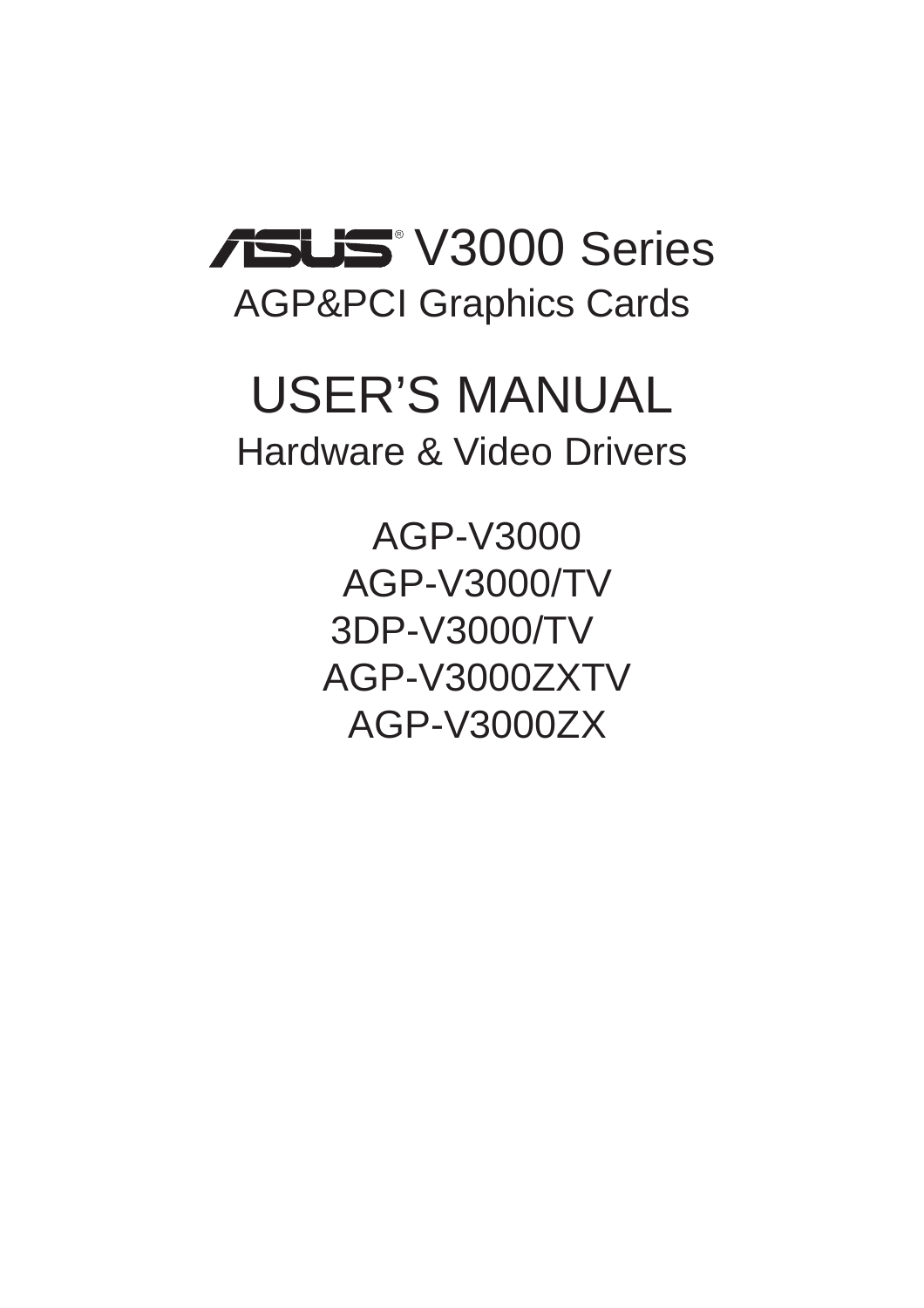

# USER'S MANUAL Hardware & Video Drivers

AGP-V3000 AGP-V3000/TV 3DP-V3000/TV AGP-V3000ZXTV AGP-V3000ZX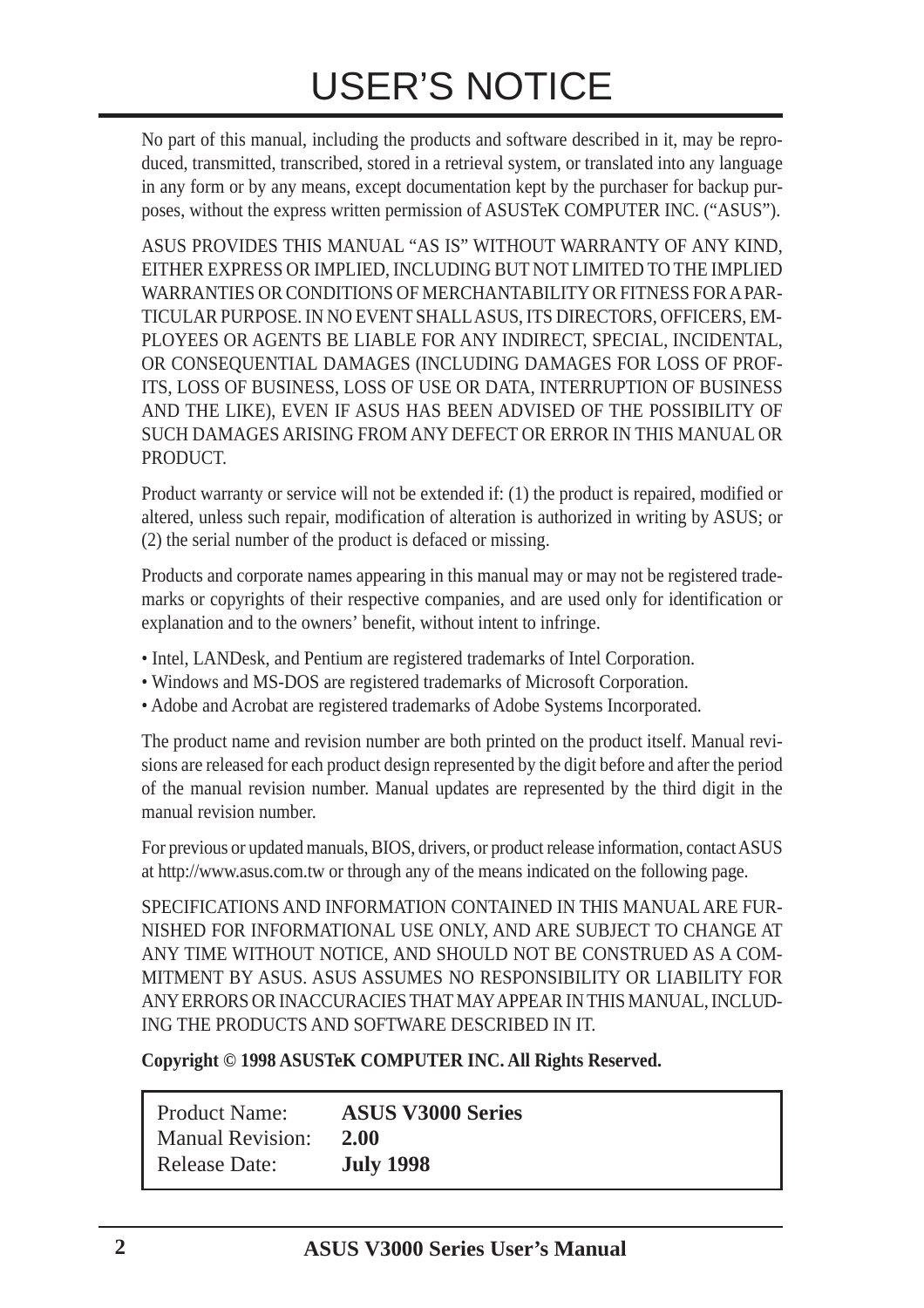No part of this manual, including the products and software described in it, may be reproduced, transmitted, transcribed, stored in a retrieval system, or translated into any language in any form or by any means, except documentation kept by the purchaser for backup purposes, without the express written permission of ASUSTeK COMPUTER INC. ("ASUS").

ASUS PROVIDES THIS MANUAL "AS IS" WITHOUT WARRANTY OF ANY KIND, EITHER EXPRESS OR IMPLIED, INCLUDING BUT NOT LIMITED TO THE IMPLIED WARRANTIES OR CONDITIONS OF MERCHANTABILITY OR FITNESS FOR A PAR-TICULAR PURPOSE. IN NO EVENT SHALL ASUS, ITS DIRECTORS, OFFICERS, EM-PLOYEES OR AGENTS BE LIABLE FOR ANY INDIRECT, SPECIAL, INCIDENTAL, OR CONSEQUENTIAL DAMAGES (INCLUDING DAMAGES FOR LOSS OF PROF-ITS, LOSS OF BUSINESS, LOSS OF USE OR DATA, INTERRUPTION OF BUSINESS AND THE LIKE), EVEN IF ASUS HAS BEEN ADVISED OF THE POSSIBILITY OF SUCH DAMAGES ARISING FROM ANY DEFECT OR ERROR IN THIS MANUAL OR **PRODUCT.** 

Product warranty or service will not be extended if: (1) the product is repaired, modified or altered, unless such repair, modification of alteration is authorized in writing by ASUS; or (2) the serial number of the product is defaced or missing.

Products and corporate names appearing in this manual may or may not be registered trademarks or copyrights of their respective companies, and are used only for identification or explanation and to the owners' benefit, without intent to infringe.

- Intel, LANDesk, and Pentium are registered trademarks of Intel Corporation.
- Windows and MS-DOS are registered trademarks of Microsoft Corporation.
- Adobe and Acrobat are registered trademarks of Adobe Systems Incorporated.

The product name and revision number are both printed on the product itself. Manual revisions are released for each product design represented by the digit before and after the period of the manual revision number. Manual updates are represented by the third digit in the manual revision number.

For previous or updated manuals, BIOS, drivers, or product release information, contact ASUS at http://www.asus.com.tw or through any of the means indicated on the following page.

SPECIFICATIONS AND INFORMATION CONTAINED IN THIS MANUAL ARE FUR-NISHED FOR INFORMATIONAL USE ONLY, AND ARE SUBJECT TO CHANGE AT ANY TIME WITHOUT NOTICE, AND SHOULD NOT BE CONSTRUED AS A COM-MITMENT BY ASUS. ASUS ASSUMES NO RESPONSIBILITY OR LIABILITY FOR ANY ERRORS OR INACCURACIES THAT MAY APPEAR IN THIS MANUAL, INCLUD-ING THE PRODUCTS AND SOFTWARE DESCRIBED IN IT.

**Copyright © 1998 ASUSTeK COMPUTER INC. All Rights Reserved.**

| <b>Product Name:</b>    | <b>ASUS V3000 Series</b> |
|-------------------------|--------------------------|
| <b>Manual Revision:</b> | 2.00                     |
| <b>Release Date:</b>    | <b>July 1998</b>         |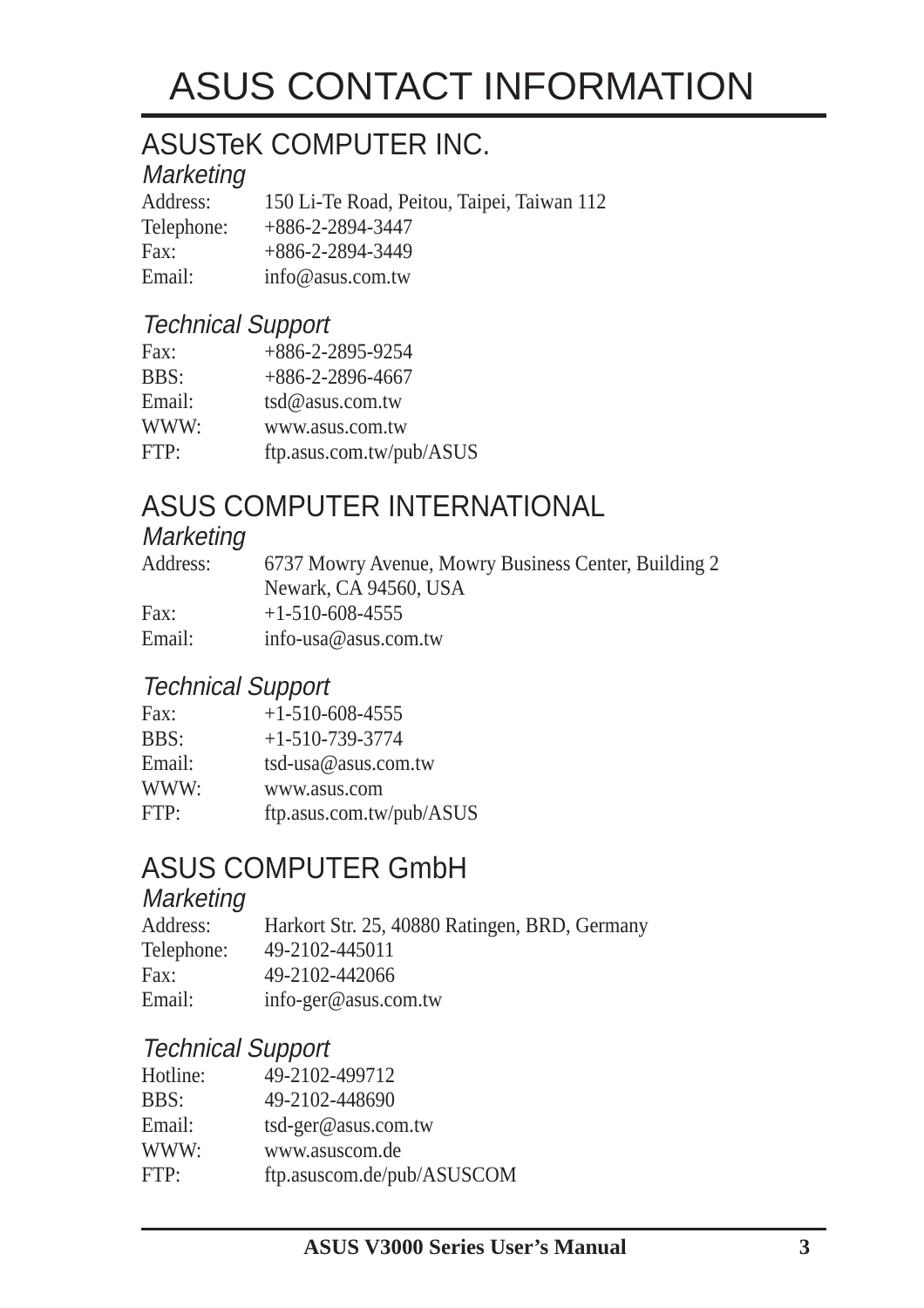# ASUS CONTACT INFORMATION

### ASUSTeK COMPUTER INC.

#### **Marketing**

Address: 150 Li-Te Road, Peitou, Taipei, Taiwan 112 Telephone: +886-2-2894-3447 Fax: +886-2-2894-3449 Email: info@asus.com.tw

#### Technical Support

| Fax:        | $+886 - 2 - 2895 - 9254$ |
|-------------|--------------------------|
| <b>BBS:</b> | $+886-2-2896-4667$       |
| Email:      | $tsd@$ asus.com.tw       |
| WWW:        | www.asus.com.tw          |
| FTP:        | ftp.asus.com.tw/pub/ASUS |

#### ASUS COMPUTER INTERNATIONAL

#### **Marketing**

| Address: | 6737 Mowry Avenue, Mowry Business Center, Building 2 |
|----------|------------------------------------------------------|
|          | Newark, CA 94560, USA                                |
| Fax:     | $+1-510-608-4555$                                    |
| Email:   | info-usa@asus.com.tw                                 |

#### Technical Support

| Fax:   | $+1-510-608-4555$        |
|--------|--------------------------|
| BBS:   | $+1-510-739-3774$        |
| Email: | tsd-usa@asus.com.tw      |
| WWW:   | www.asus.com             |
| FTP:   | ftp.asus.com.tw/pub/ASUS |

#### ASUS COMPUTER GmbH

#### **Marketing**

| Address:   | Harkort Str. 25, 40880 Ratingen, BRD, Germany |
|------------|-----------------------------------------------|
| Telephone: | 49-2102-445011                                |
| Fax:       | 49-2102-442066                                |
| Email:     | info-ger@asus.com.tw                          |

#### Technical Support

| 49-2102-499712             |
|----------------------------|
| 49-2102-448690             |
| tsd-ger@asus.com.tw        |
| www.asuscom.de             |
| ftp.asuscom.de/pub/ASUSCOM |
|                            |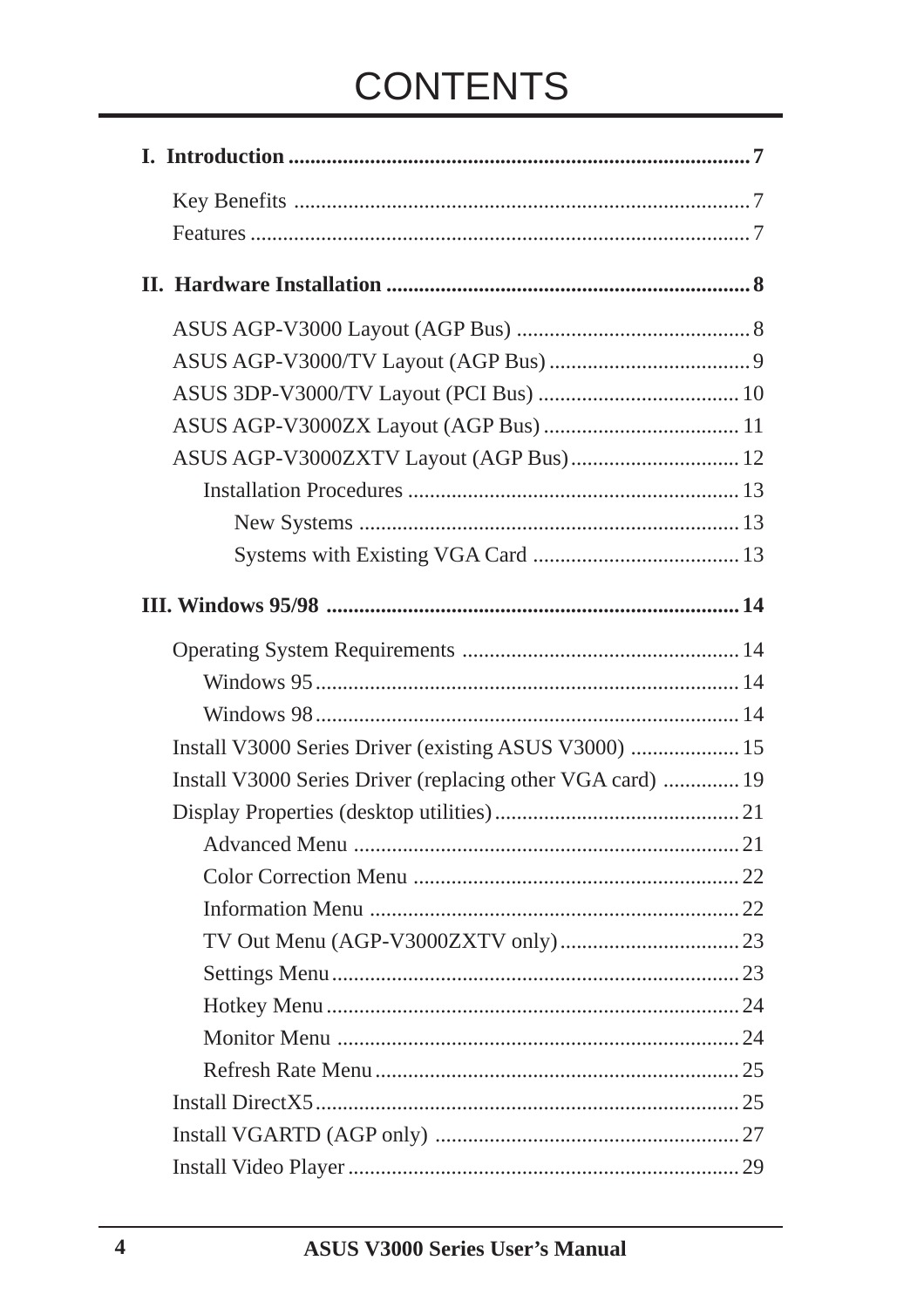# **CONTENTS**

| ASUS AGP-V3000ZXTV Layout (AGP Bus) 12                     |
|------------------------------------------------------------|
|                                                            |
|                                                            |
|                                                            |
|                                                            |
|                                                            |
|                                                            |
|                                                            |
| Install V3000 Series Driver (existing ASUS V3000)  15      |
| Install V3000 Series Driver (replacing other VGA card)  19 |
|                                                            |
|                                                            |
|                                                            |
|                                                            |
|                                                            |
|                                                            |
|                                                            |
|                                                            |
|                                                            |
|                                                            |
|                                                            |
|                                                            |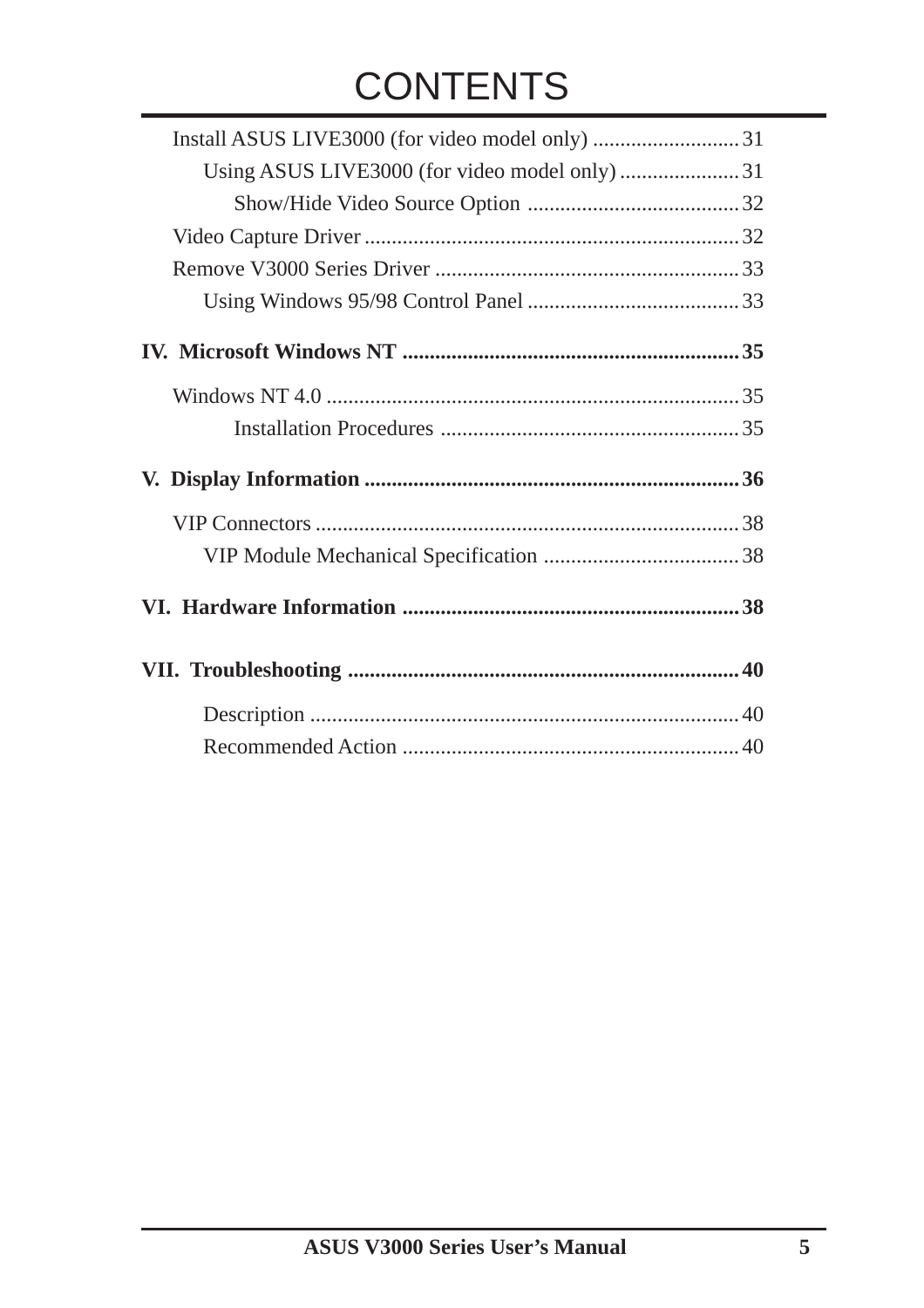# **CONTENTS**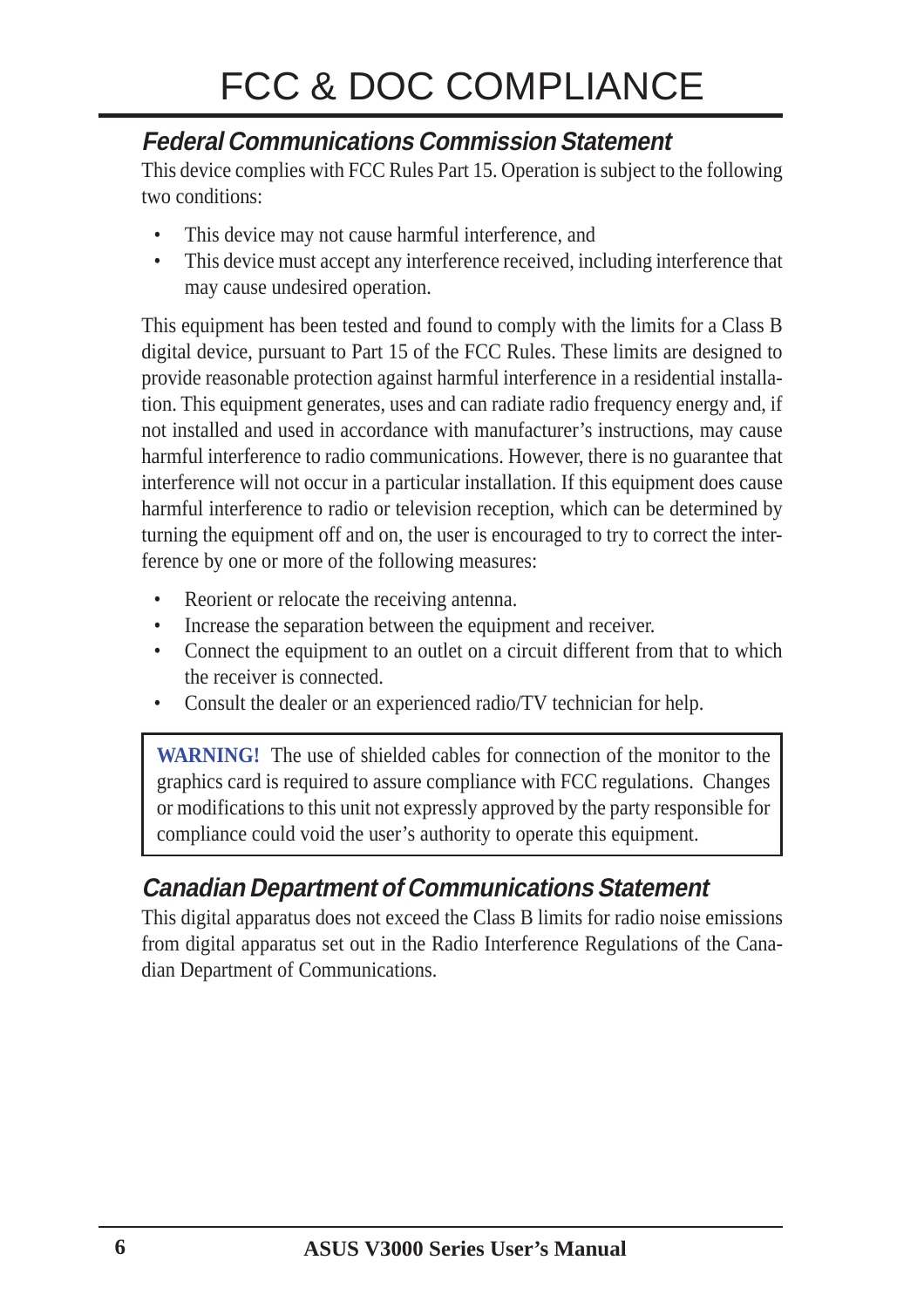#### **Federal Communications Commission Statement**

This device complies with FCC Rules Part 15. Operation is subject to the following two conditions:

- This device may not cause harmful interference, and
- This device must accept any interference received, including interference that may cause undesired operation.

This equipment has been tested and found to comply with the limits for a Class B digital device, pursuant to Part 15 of the FCC Rules. These limits are designed to provide reasonable protection against harmful interference in a residential installation. This equipment generates, uses and can radiate radio frequency energy and, if not installed and used in accordance with manufacturer's instructions, may cause harmful interference to radio communications. However, there is no guarantee that interference will not occur in a particular installation. If this equipment does cause harmful interference to radio or television reception, which can be determined by turning the equipment off and on, the user is encouraged to try to correct the interference by one or more of the following measures:

- Reorient or relocate the receiving antenna.
- Increase the separation between the equipment and receiver.
- Connect the equipment to an outlet on a circuit different from that to which the receiver is connected.
- Consult the dealer or an experienced radio/TV technician for help.

**WARNING!** The use of shielded cables for connection of the monitor to the graphics card is required to assure compliance with FCC regulations. Changes or modifications to this unit not expressly approved by the party responsible for compliance could void the user's authority to operate this equipment.

#### **Canadian Department of Communications Statement**

This digital apparatus does not exceed the Class B limits for radio noise emissions from digital apparatus set out in the Radio Interference Regulations of the Canadian Department of Communications.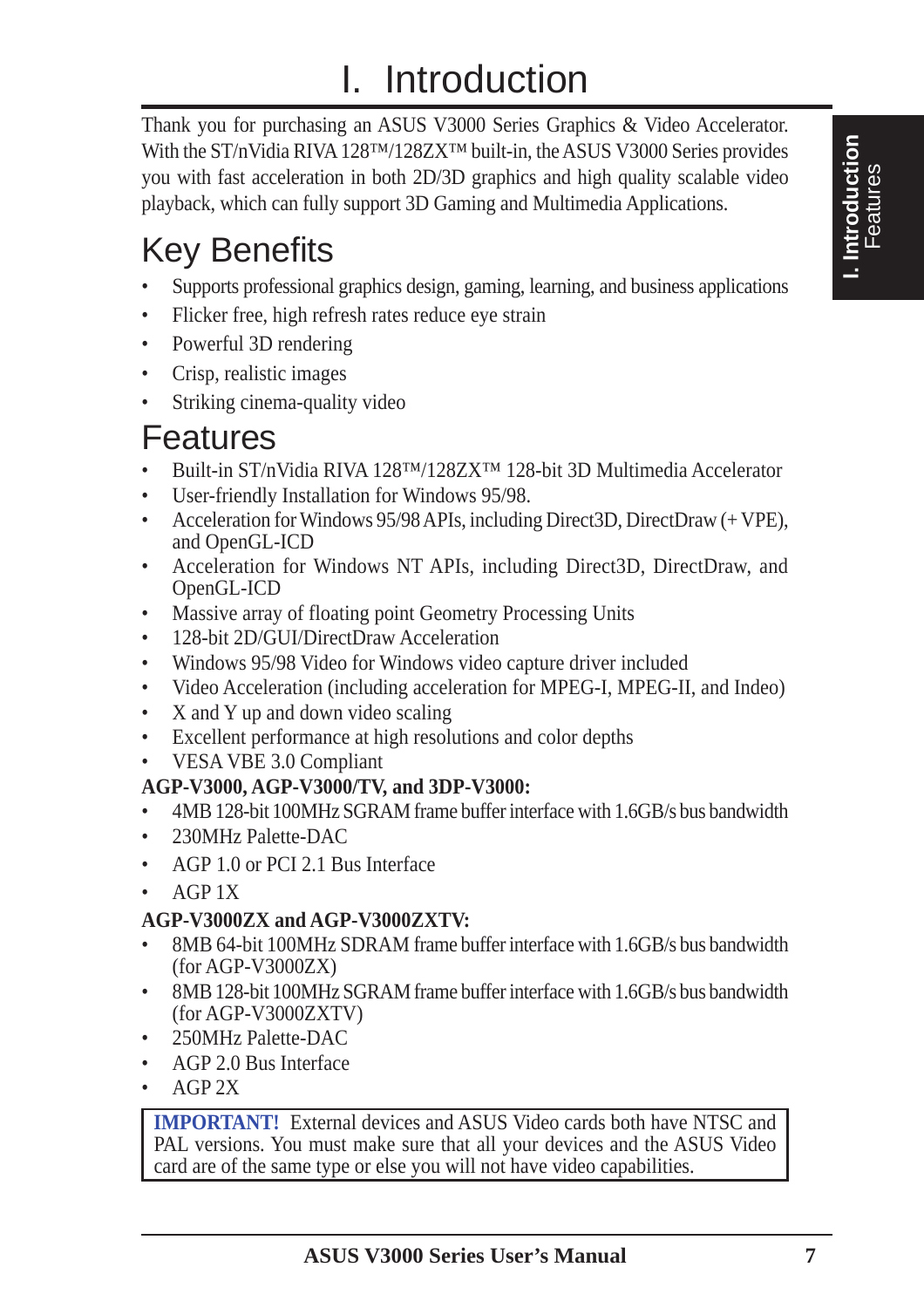# I. Introduction

Thank you for purchasing an ASUS V3000 Series Graphics & Video Accelerator. With the ST/nVidia RIVA 128™/128ZX™ built-in, the ASUS V3000 Series provides you with fast acceleration in both 2D/3D graphics and high quality scalable video playback, which can fully support 3D Gaming and Multimedia Applications.

# Key Benefits

- Supports professional graphics design, gaming, learning, and business applications
- Flicker free, high refresh rates reduce eye strain
- Powerful 3D rendering
- Crisp, realistic images
- Striking cinema-quality video

### Features

- Built-in ST/nVidia RIVA 128<sup>TM</sup>/128ZX<sup>TM</sup> 128-bit 3D Multimedia Accelerator
- User-friendly Installation for Windows 95/98.
- Acceleration for Windows 95/98 APIs, including Direct3D, DirectDraw (+ VPE), and OpenGL-ICD
- Acceleration for Windows NT APIs, including Direct3D, DirectDraw, and OpenGL-ICD
- Massive array of floating point Geometry Processing Units
- 128-bit 2D/GUI/DirectDraw Acceleration
- Windows 95/98 Video for Windows video capture driver included
- Video Acceleration (including acceleration for MPEG-I, MPEG-II, and Indeo)
- X and Y up and down video scaling
- Excellent performance at high resolutions and color depths
- VESA VBE 3.0 Compliant

#### **AGP-V3000, AGP-V3000/TV, and 3DP-V3000:**

- 4MB 128-bit 100MHz SGRAM frame buffer interface with 1.6GB/s bus bandwidth
- 230MHz Palette-DAC
- AGP 1.0 or PCI 2.1 Bus Interface
- AGP 1X

#### **AGP-V3000ZX and AGP-V3000ZXTV:**

- 8MB 64-bit 100MHz SDRAM frame buffer interface with 1.6GB/s bus bandwidth (for AGP-V3000ZX)
- 8MB 128-bit 100MHz SGRAM frame buffer interface with 1.6GB/s bus bandwidth (for AGP-V3000ZXTV)
- 250MHz Palette-DAC
- AGP 2.0 Bus Interface
- AGP 2X

**IMPORTANT!** External devices and ASUS Video cards both have NTSC and PAL versions. You must make sure that all your devices and the ASUS Video card are of the same type or else you will not have video capabilities.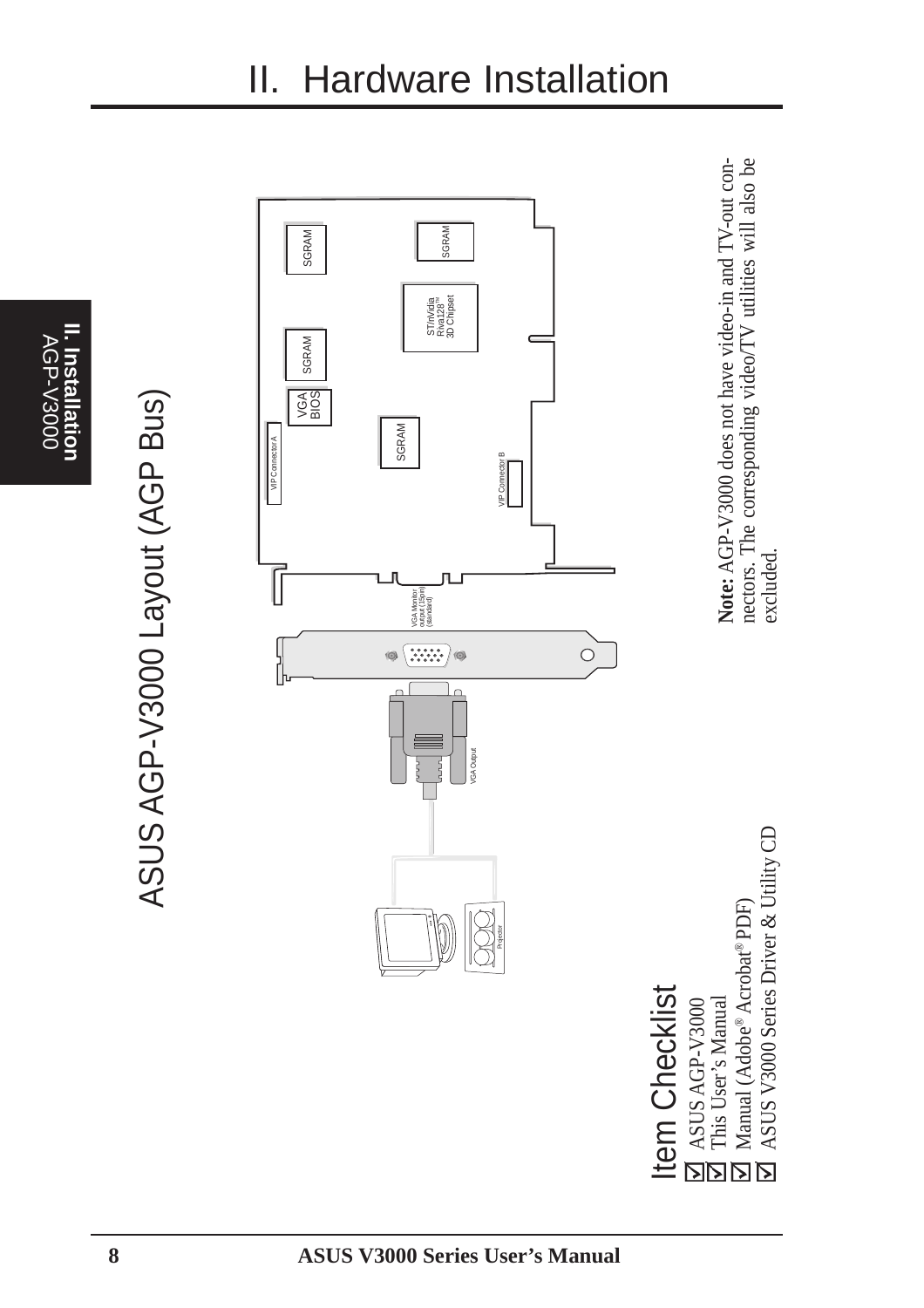

ASUS AGP-V3000 Layout (AGP Bus) ASUS AGP-V3000 Layout (AGP Bus)



II. Hardware Installation

Note: AGP-V3000 does not have video-in and TV-out connectors. The corresponding video/TV utilities will also be **Note:** AGP-V3000 does not have video-in and TV-out connectors. The corresponding video/TV utilities will also be excluded.

Item Checklist Item Checklist ASUS AGP-V3000

ASUS V3000 Series Driver & Utility CD ASUS V3000 Series Driver & Utility CD **Social State Asian Service State State**<br> **Society**<br> **Social State State State State**<br> **Society**<br> **Social State State State State**<br> **Society**<br> **Society** Manual (Adobe® Acrobat® PDF) This User's Manual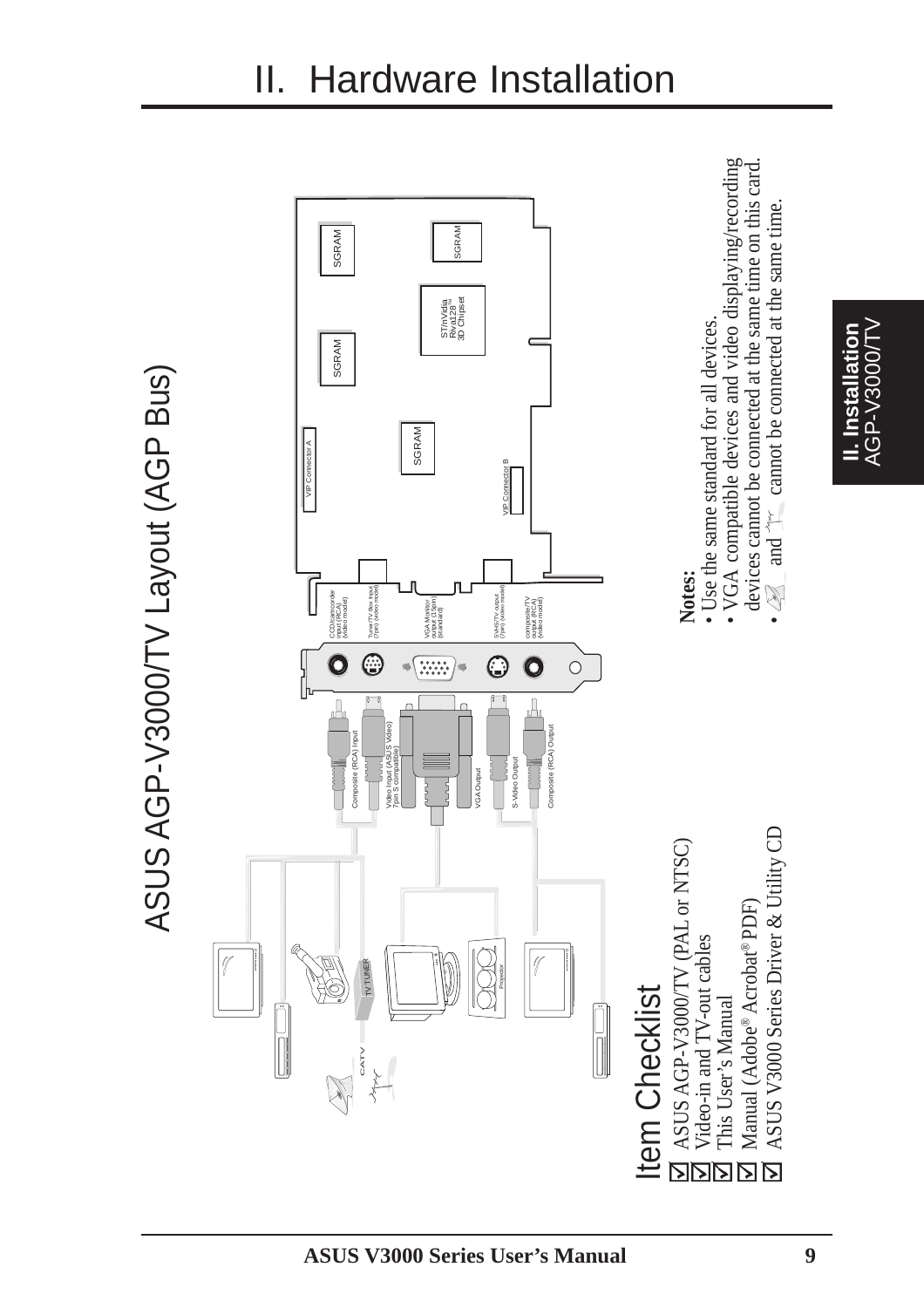

**II. Installation** AGP-V3000/TV

II. Installation<br>AGP-V3000/TV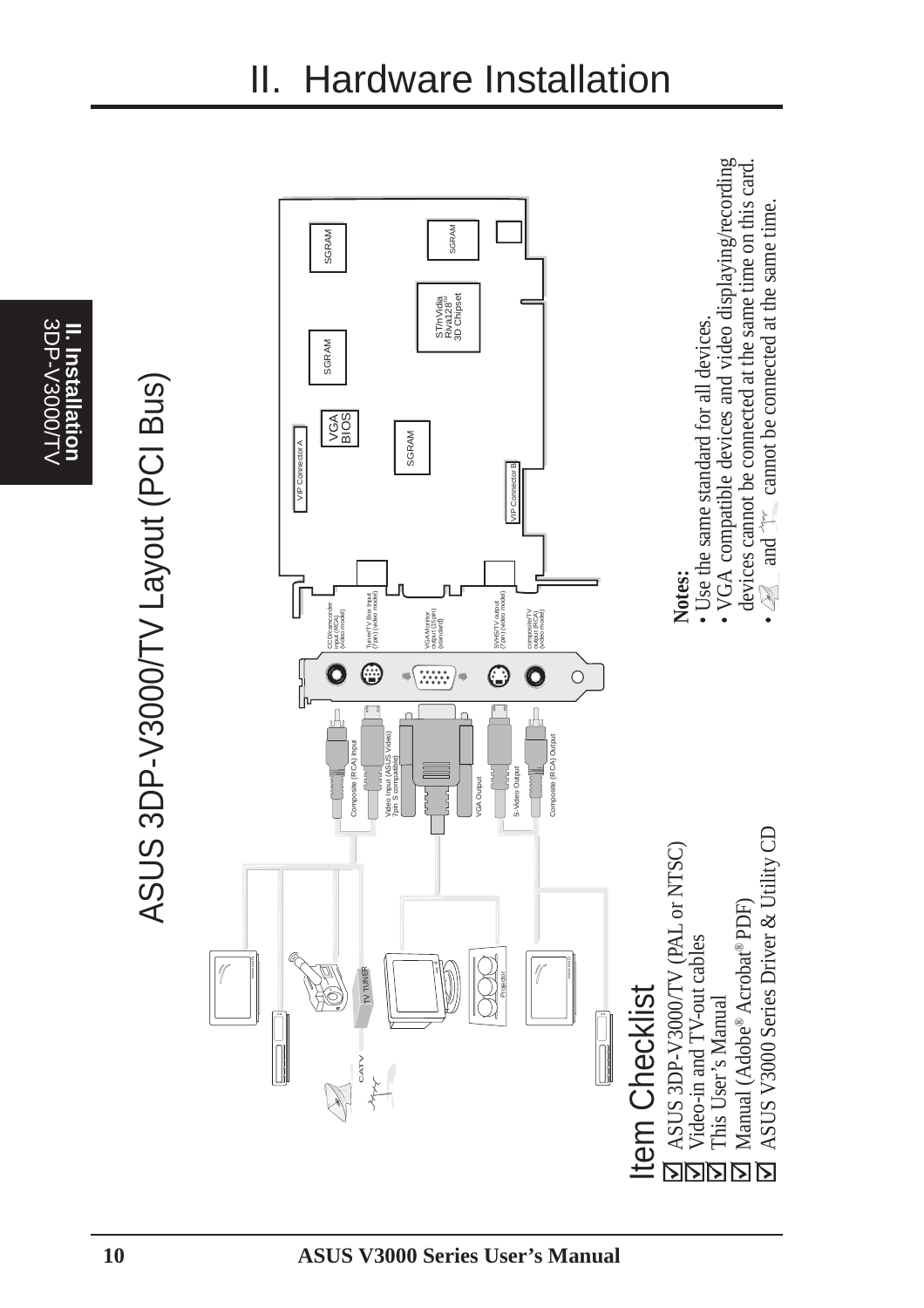3DP-V3000/T\ 3DP-V3000/TV **II. Installation Installation** 

ASUS 3DP-V3000/TV Layout (PCI Bus) ASUS 3DP-V3000/TV Layout (PCI Bus)

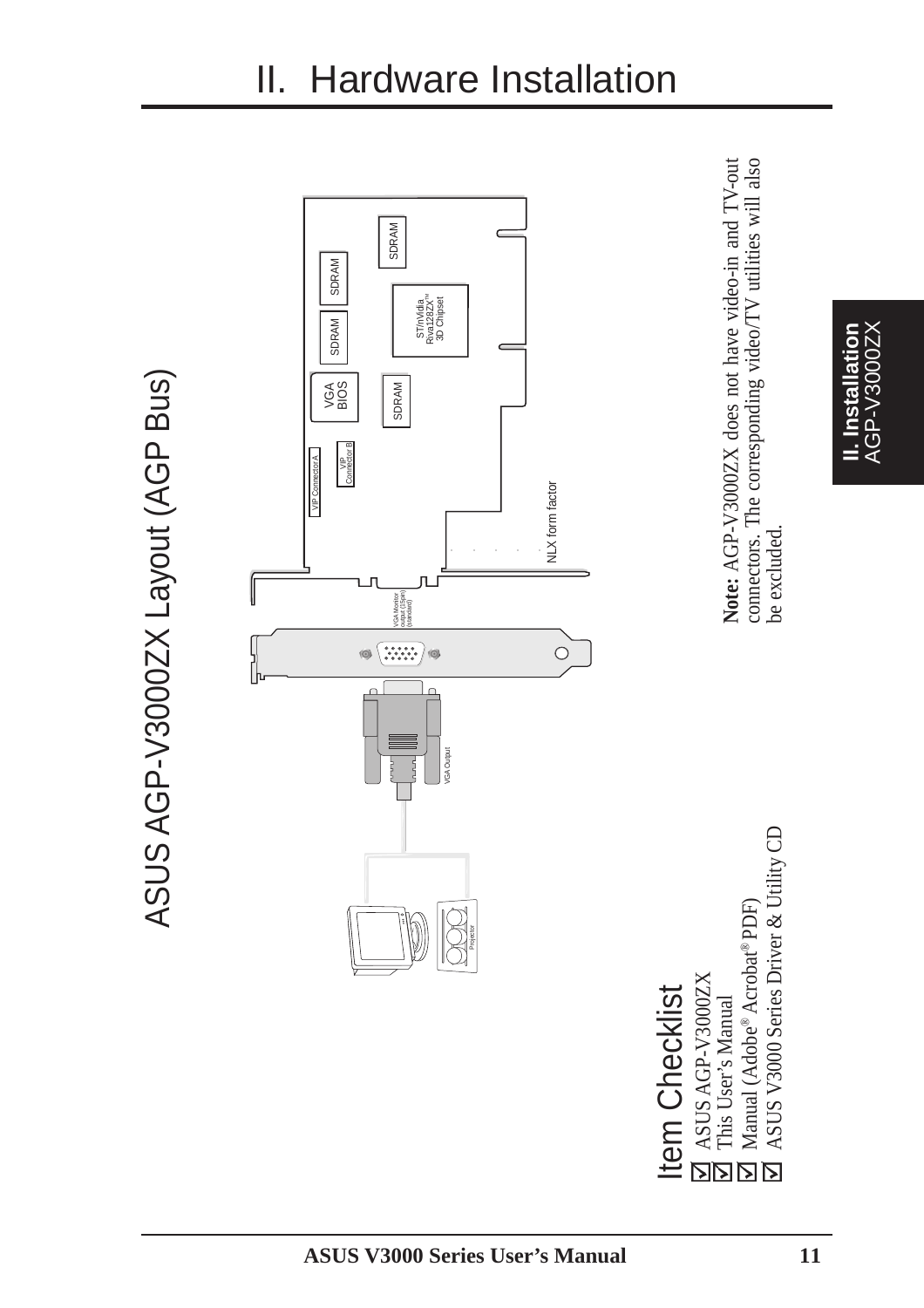

# II. Hardware Installation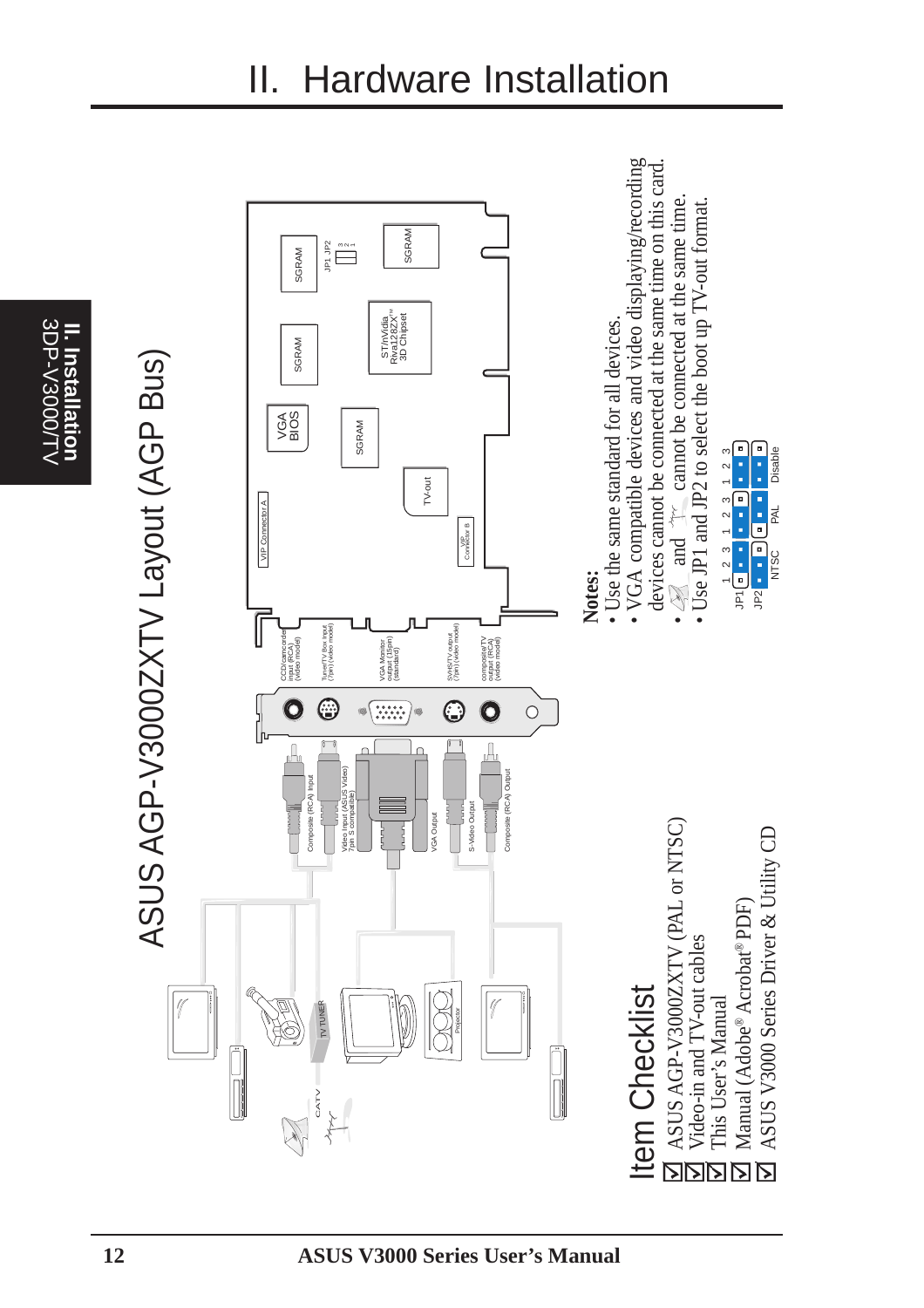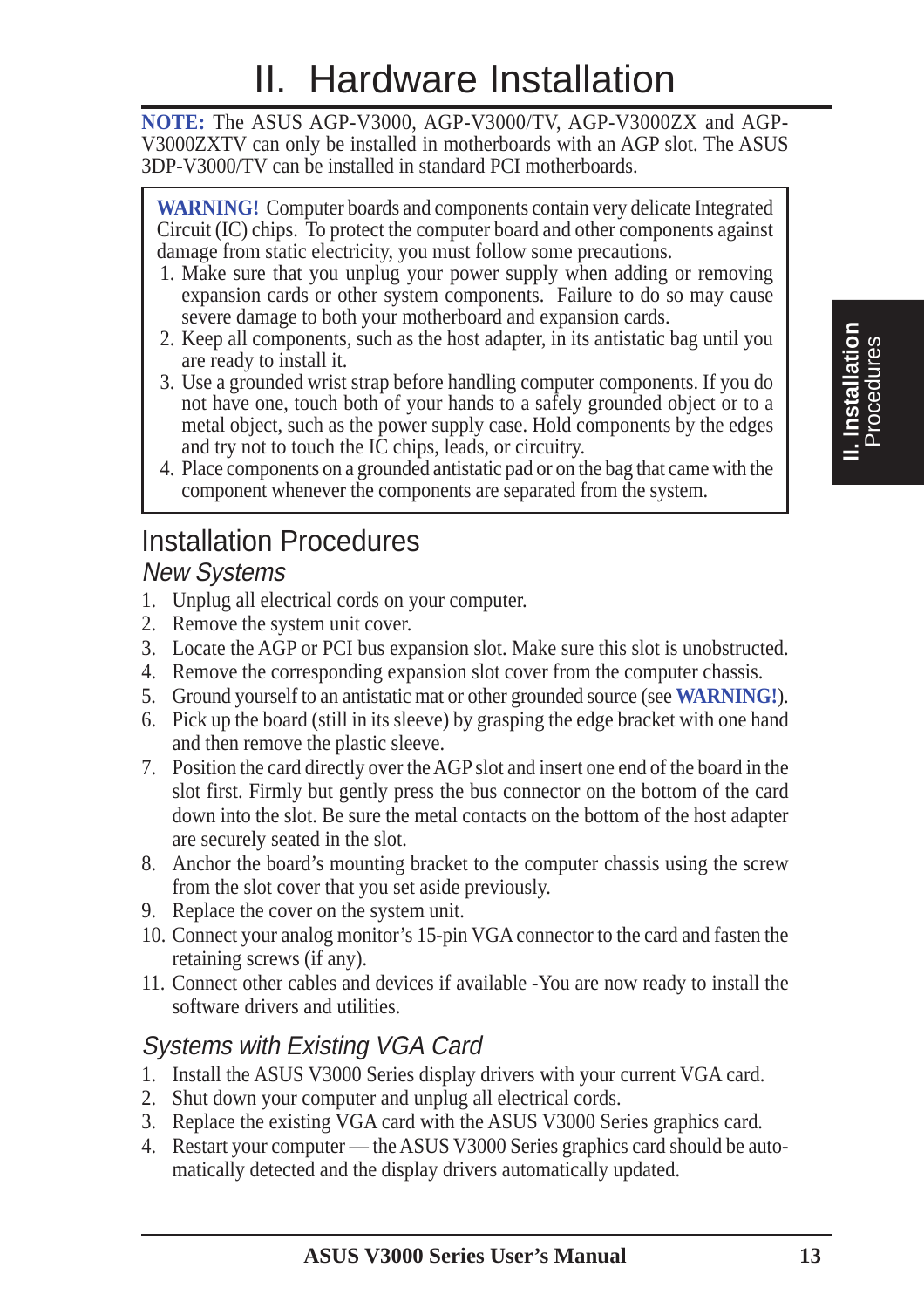# II. Hardware Installation

**NOTE:** The ASUS AGP-V3000, AGP-V3000/TV, AGP-V3000ZX and AGP-V3000ZXTV can only be installed in motherboards with an AGP slot. The ASUS 3DP-V3000/TV can be installed in standard PCI motherboards.

**WARNING!** Computer boards and components contain very delicate Integrated Circuit (IC) chips. To protect the computer board and other components against damage from static electricity, you must follow some precautions.

- 1. Make sure that you unplug your power supply when adding or removing expansion cards or other system components. Failure to do so may cause severe damage to both your motherboard and expansion cards.
- 2. Keep all components, such as the host adapter, in its antistatic bag until you are ready to install it.
- 3. Use a grounded wrist strap before handling computer components. If you do not have one, touch both of your hands to a safely grounded object or to a metal object, such as the power supply case. Hold components by the edges and try not to touch the IC chips, leads, or circuitry.
- 4. Place components on a grounded antistatic pad or on the bag that came with the component whenever the components are separated from the system.

### Installation Procedures

#### New Systems

- 1. Unplug all electrical cords on your computer.
- 2. Remove the system unit cover.
- 3. Locate the AGP or PCI bus expansion slot. Make sure this slot is unobstructed.
- 4. Remove the corresponding expansion slot cover from the computer chassis.
- 5. Ground yourself to an antistatic mat or other grounded source (see **WARNING!**).
- 6. Pick up the board (still in its sleeve) by grasping the edge bracket with one hand and then remove the plastic sleeve.
- 7. Position the card directly over the AGP slot and insert one end of the board in the slot first. Firmly but gently press the bus connector on the bottom of the card down into the slot. Be sure the metal contacts on the bottom of the host adapter are securely seated in the slot.
- 8. Anchor the board's mounting bracket to the computer chassis using the screw from the slot cover that you set aside previously.
- 9. Replace the cover on the system unit.
- 10. Connect your analog monitor's 15-pin VGA connector to the card and fasten the retaining screws (if any).
- 11. Connect other cables and devices if available -You are now ready to install the software drivers and utilities.

#### Systems with Existing VGA Card

- 1. Install the ASUS V3000 Series display drivers with your current VGA card.
- 2. Shut down your computer and unplug all electrical cords.
- 3. Replace the existing VGA card with the ASUS V3000 Series graphics card.
- 4. Restart your computer the ASUS V3000 Series graphics card should be automatically detected and the display drivers automatically updated.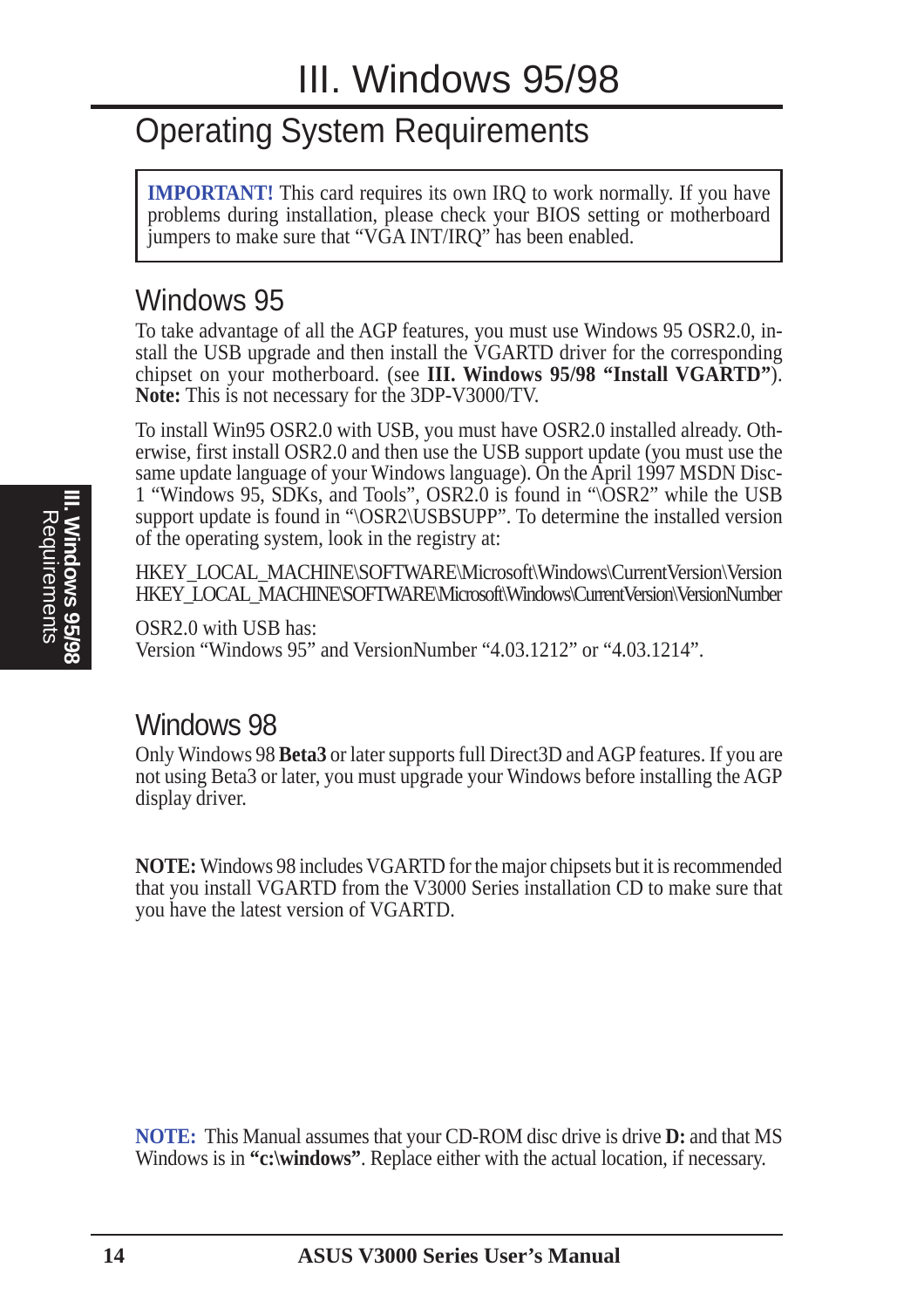### Operating System Requirements

**IMPORTANT!** This card requires its own IRQ to work normally. If you have problems during installation, please check your BIOS setting or motherboard jumpers to make sure that "VGA INT/IRQ" has been enabled.

#### Windows 95

To take advantage of all the AGP features, you must use Windows 95 OSR2.0, install the USB upgrade and then install the VGARTD driver for the corresponding chipset on your motherboard. (see **III. Windows 95/98 "Install VGARTD"**). **Note:** This is not necessary for the 3DP-V3000/TV.

To install Win95 OSR2.0 with USB, you must have OSR2.0 installed already. Otherwise, first install OSR2.0 and then use the USB support update (you must use the same update language of your Windows language). On the April 1997 MSDN Disc-1 "Windows 95, SDKs, and Tools", OSR2.0 is found in "\OSR2" while the USB support update is found in "\OSR2\USBSUPP". To determine the installed version of the operating system, look in the registry at:

HKEY\_LOCAL\_MACHINE\SOFTWARE\Microsoft\Windows\CurrentVersion\Version HKEY\_LOCAL\_MACHINE\SOFTWARE\Microsoft\Windows\CurrentVersion\VersionNumber

OSR2.0 with USB has: Version "Windows 95" and VersionNumber "4.03.1212" or "4.03.1214".

#### Windows 98

Only Windows 98 **Beta3** or later supports full Direct3D and AGP features. If you are not using Beta3 or later, you must upgrade your Windows before installing the AGP display driver.

**NOTE:** Windows 98 includes VGARTD for the major chipsets but it is recommended that you install VGARTD from the V3000 Series installation CD to make sure that you have the latest version of VGARTD.

**NOTE:** This Manual assumes that your CD-ROM disc drive is drive **D:** and that MS Windows is in **"c:\windows"**. Replace either with the actual location, if necessary.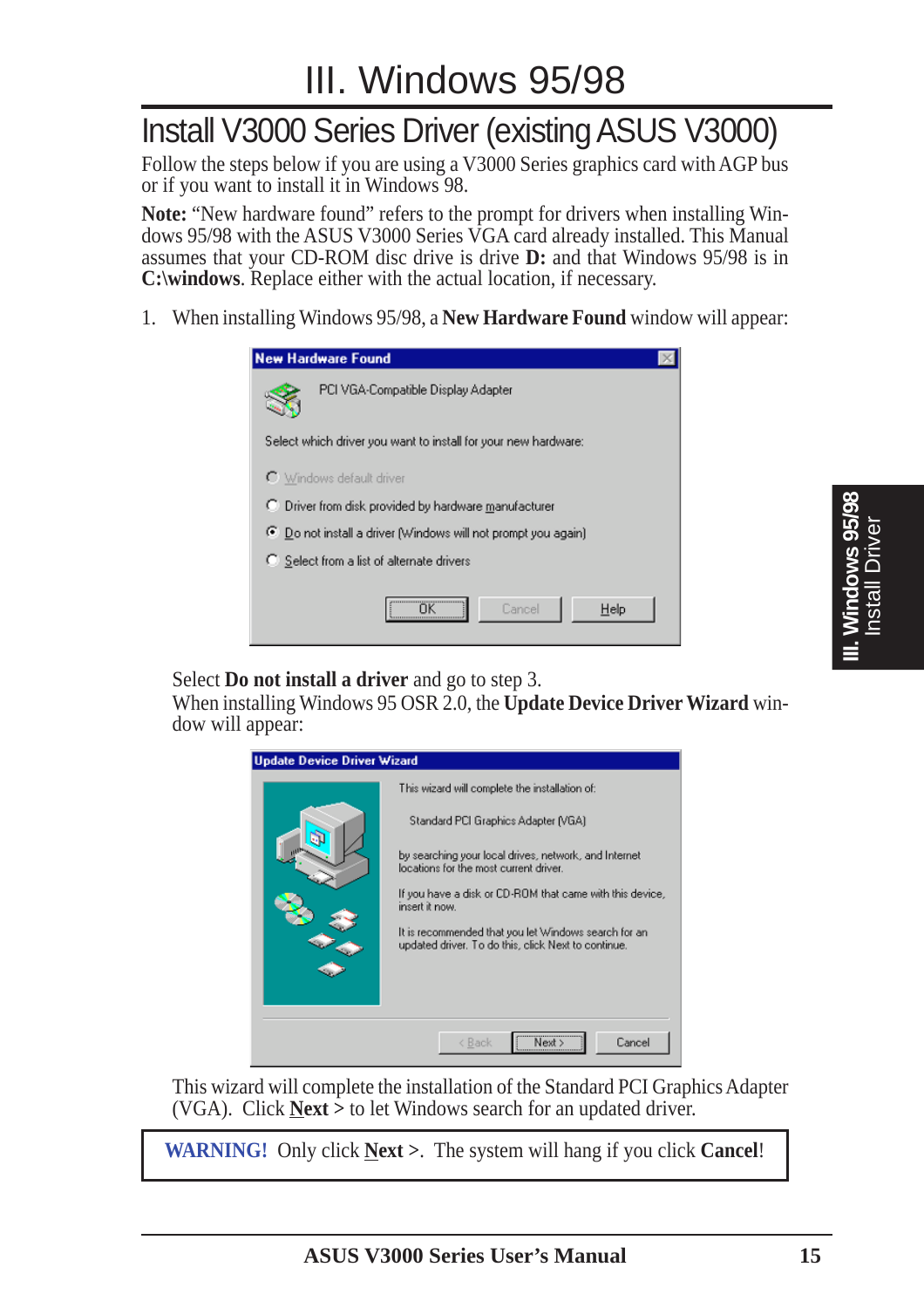### Install V3000 Series Driver (existing ASUS V3000)

Follow the steps below if you are using a V3000 Series graphics card with AGP bus or if you want to install it in Windows 98.

**Note:** "New hardware found" refers to the prompt for drivers when installing Windows 95/98 with the ASUS V3000 Series VGA card already installed. This Manual assumes that your CD-ROM disc drive is drive **D:** and that Windows 95/98 is in **C:\windows**. Replace either with the actual location, if necessary.

1. When installing Windows 95/98, a **New Hardware Found** window will appear:

| <b>New Hardware Found</b>                                      |  |  |  |
|----------------------------------------------------------------|--|--|--|
| PCI VGA-Compatible Display Adapter                             |  |  |  |
| Select which driver you want to install for your new hardware: |  |  |  |
| C Windows default driver                                       |  |  |  |
| Driver from disk provided by hardware manufacturer             |  |  |  |
| ⊙ Do not install a driver (Windows will not prompt you again)  |  |  |  |
| C Select from a list of alternate drivers                      |  |  |  |
| Help<br>Cancel                                                 |  |  |  |

Select **Do not install a driver** and go to step 3.

When installing Windows 95 OSR 2.0, the **Update Device Driver Wizard** window will appear:



This wizard will complete the installation of the Standard PCI Graphics Adapter (VGA). Click **Next >** to let Windows search for an updated driver.

**WARNING!** Only click **Next >**. The system will hang if you click **Cancel**!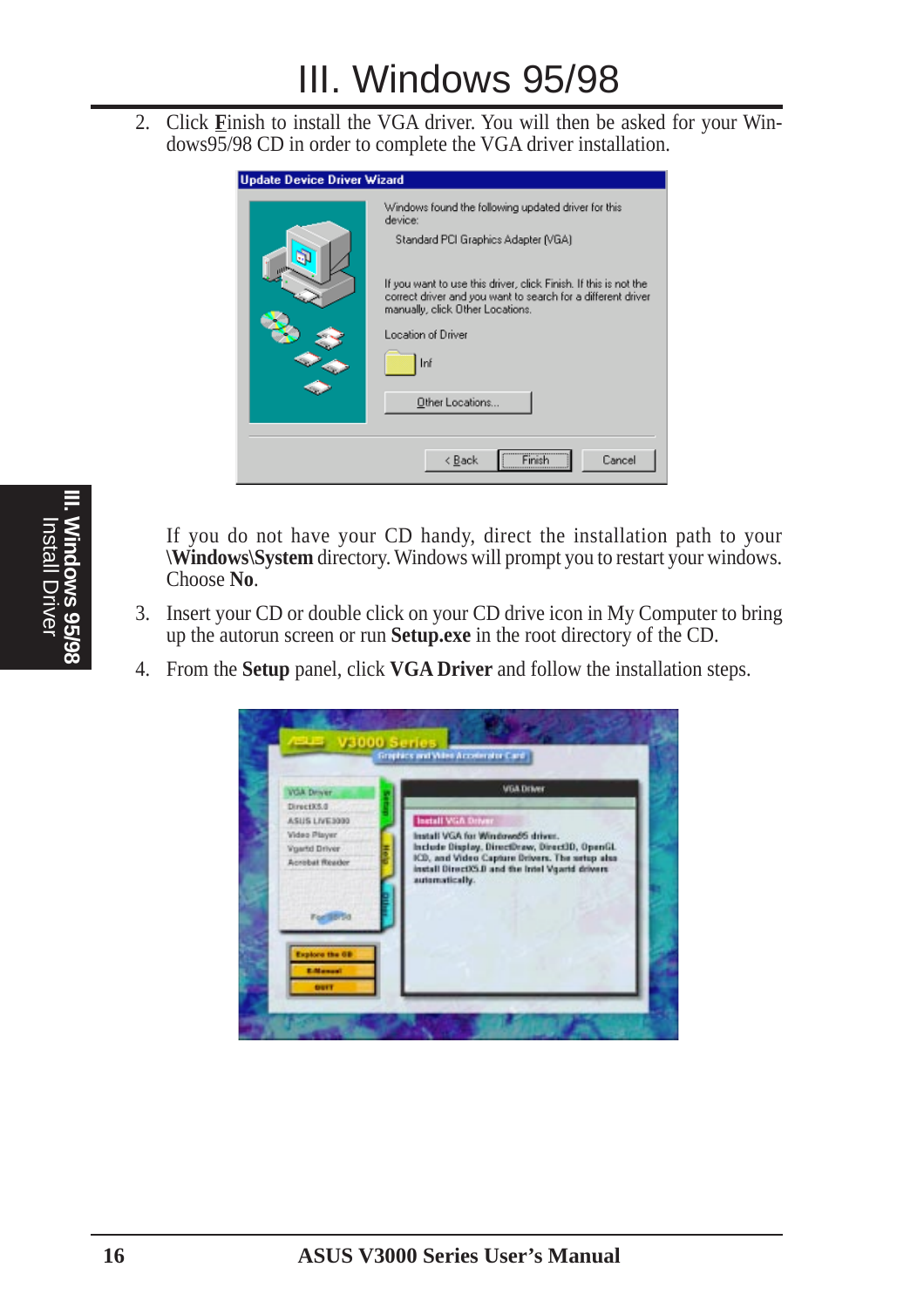2. Click **F**inish to install the VGA driver. You will then be asked for your Windows95/98 CD in order to complete the VGA driver installation.



If you do not have your CD handy, direct the installation path to your **\Windows\System** directory. Windows will prompt you to restart your windows. Choose **No**.

- 3. Insert your CD or double click on your CD drive icon in My Computer to bring up the autorun screen or run **Setup.exe** in the root directory of the CD.
- 4. From the **Setup** panel, click **VGA Driver** and follow the installation steps.

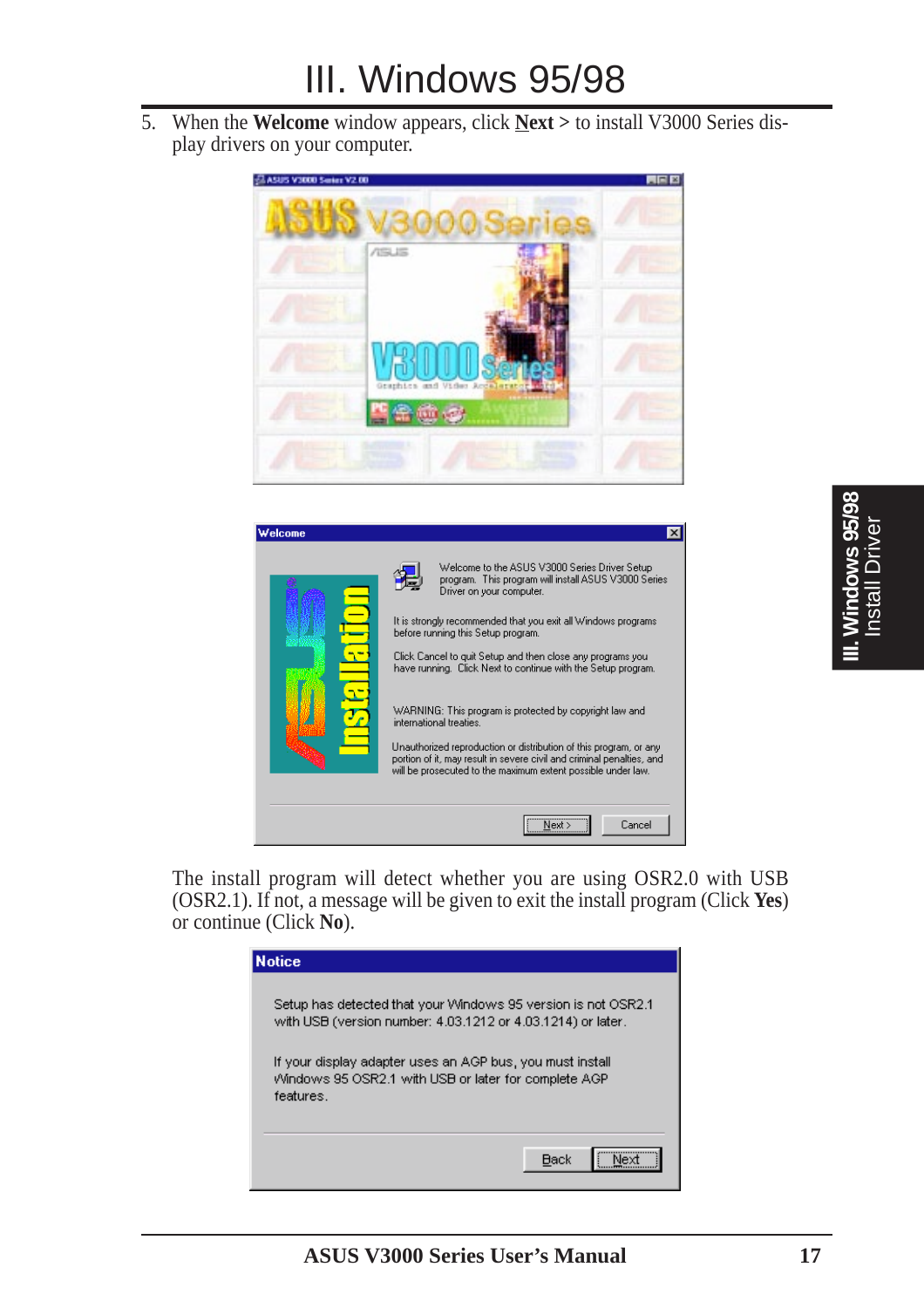5. When the **Welcome** window appears, click **Next >** to install V3000 Series display drivers on your computer.





The install program will detect whether you are using OSR2.0 with USB (OSR2.1). If not, a message will be given to exit the install program (Click **Yes**) or continue (Click **No**).

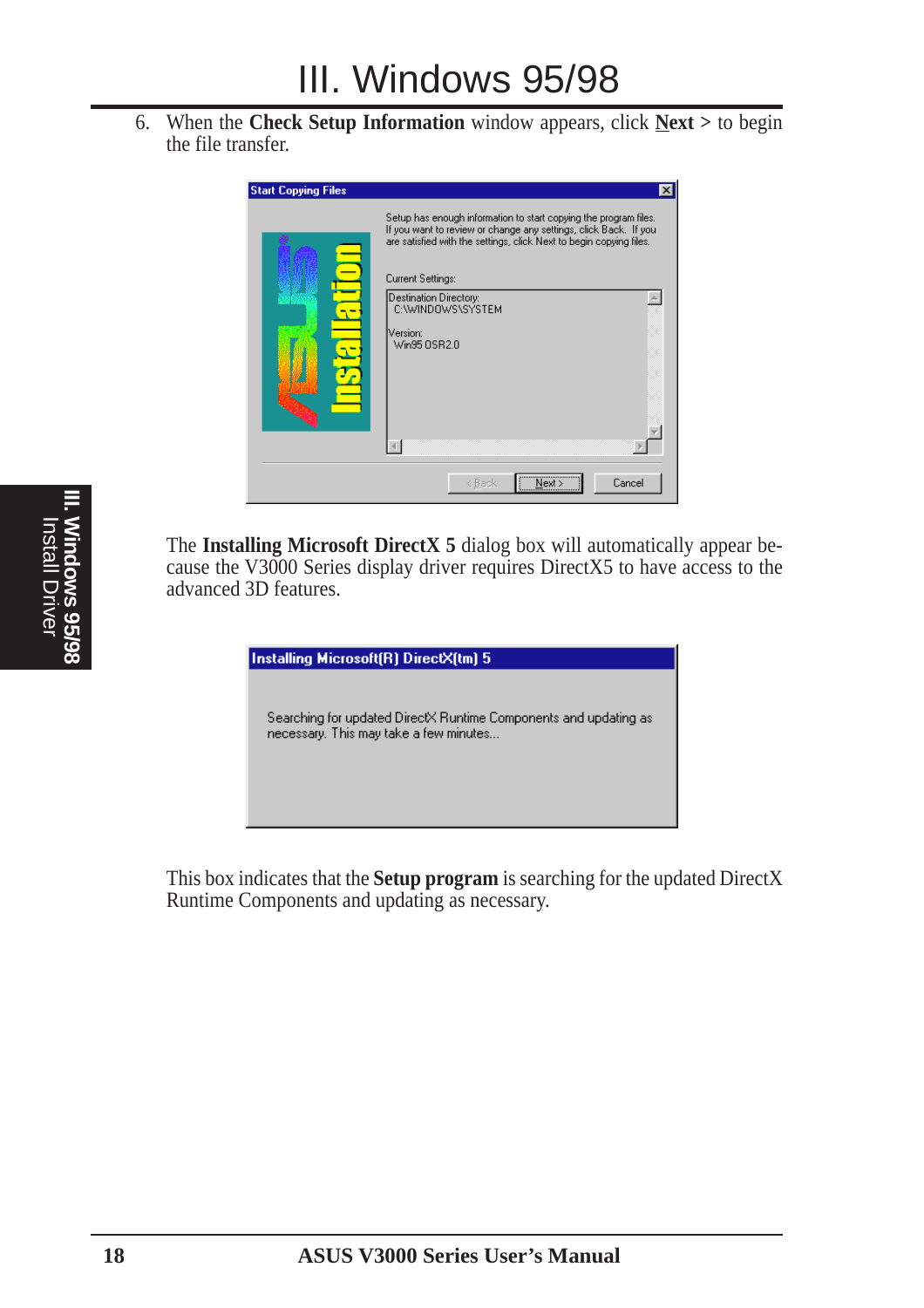6. When the **Check Setup Information** window appears, click **Next >** to begin the file transfer.



The **Installing Microsoft DirectX 5** dialog box will automatically appear because the V3000 Series display driver requires DirectX5 to have access to the advanced 3D features.

| Installing Microsoft(R) DirectX(tm) 5                                                                      |
|------------------------------------------------------------------------------------------------------------|
| Searching for updated DirectX Runtime Components and updating as<br>necessary. This may take a few minutes |

This box indicates that the **Setup program** is searching for the updated DirectX Runtime Components and updating as necessary.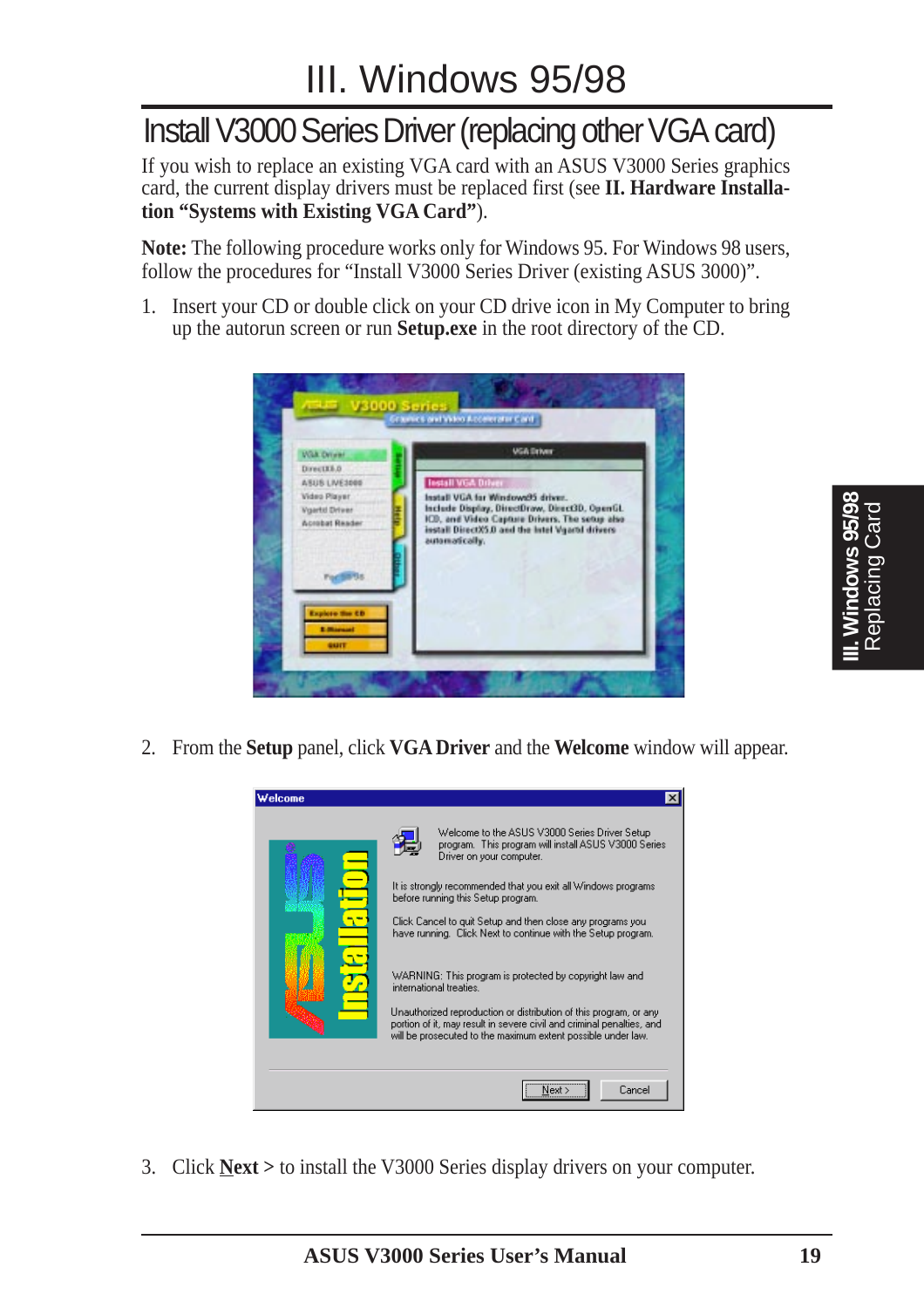### Install V3000 Series Driver (replacing other VGA card)

If you wish to replace an existing VGA card with an ASUS V3000 Series graphics card, the current display drivers must be replaced first (see **II. Hardware Installation "Systems with Existing VGA Card"**).

**Note:** The following procedure works only for Windows 95. For Windows 98 users, follow the procedures for "Install V3000 Series Driver (existing ASUS 3000)".

1. Insert your CD or double click on your CD drive icon in My Computer to bring up the autorun screen or run **Setup.exe** in the root directory of the CD.



2. From the **Setup** panel, click **VGA Driver** and the **Welcome** window will appear.



3. Click **Next >** to install the V3000 Series display drivers on your computer.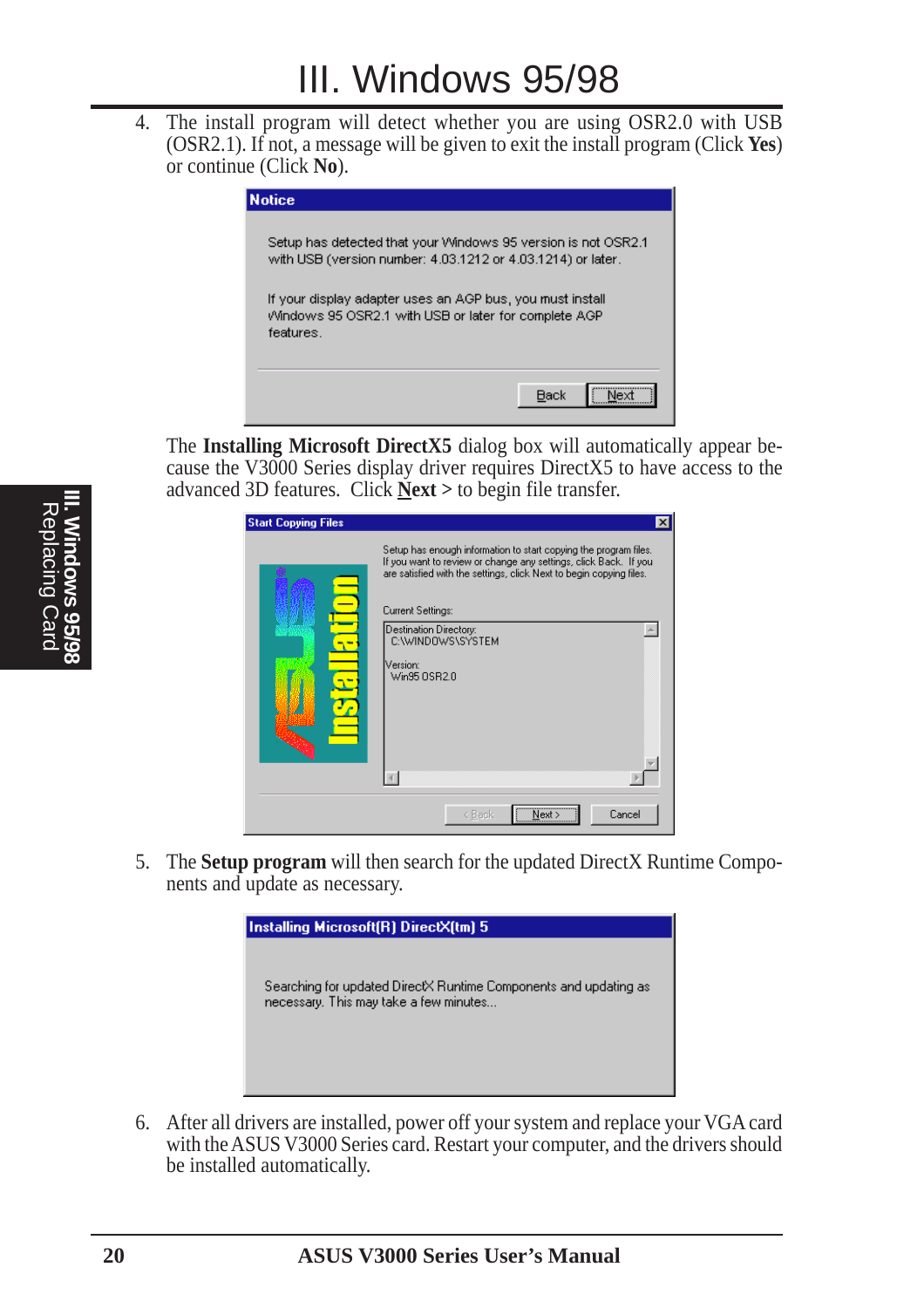4. The install program will detect whether you are using OSR2.0 with USB (OSR2.1). If not, a message will be given to exit the install program (Click **Yes**) or continue (Click **No**).



The **Installing Microsoft DirectX5** dialog box will automatically appear because the V3000 Series display driver requires DirectX5 to have access to the advanced 3D features. Click **Next >** to begin file transfer.

| <b>Start Copying Files</b> | ×                                                                                                                                                                                                                                                                                                           |
|----------------------------|-------------------------------------------------------------------------------------------------------------------------------------------------------------------------------------------------------------------------------------------------------------------------------------------------------------|
|                            | Setup has enough information to start copying the program files.<br>If you want to review or change any settings, click Back. If you<br>are satisfied with the settings, click Next to begin copying files.<br>Current Settings:<br>Destination Directory:<br>C:\WINDOWS\SYSTEM<br>Version:<br>Win95 OSR2.0 |
|                            | <br>Cancel<br>< Back<br>Next:                                                                                                                                                                                                                                                                               |

5. The **Setup program** will then search for the updated DirectX Runtime Components and update as necessary.



6. After all drivers are installed, power off your system and replace your VGA card with the ASUS V3000 Series card. Restart your computer, and the drivers should be installed automatically.

**III. Windows 95/98** Replacing Card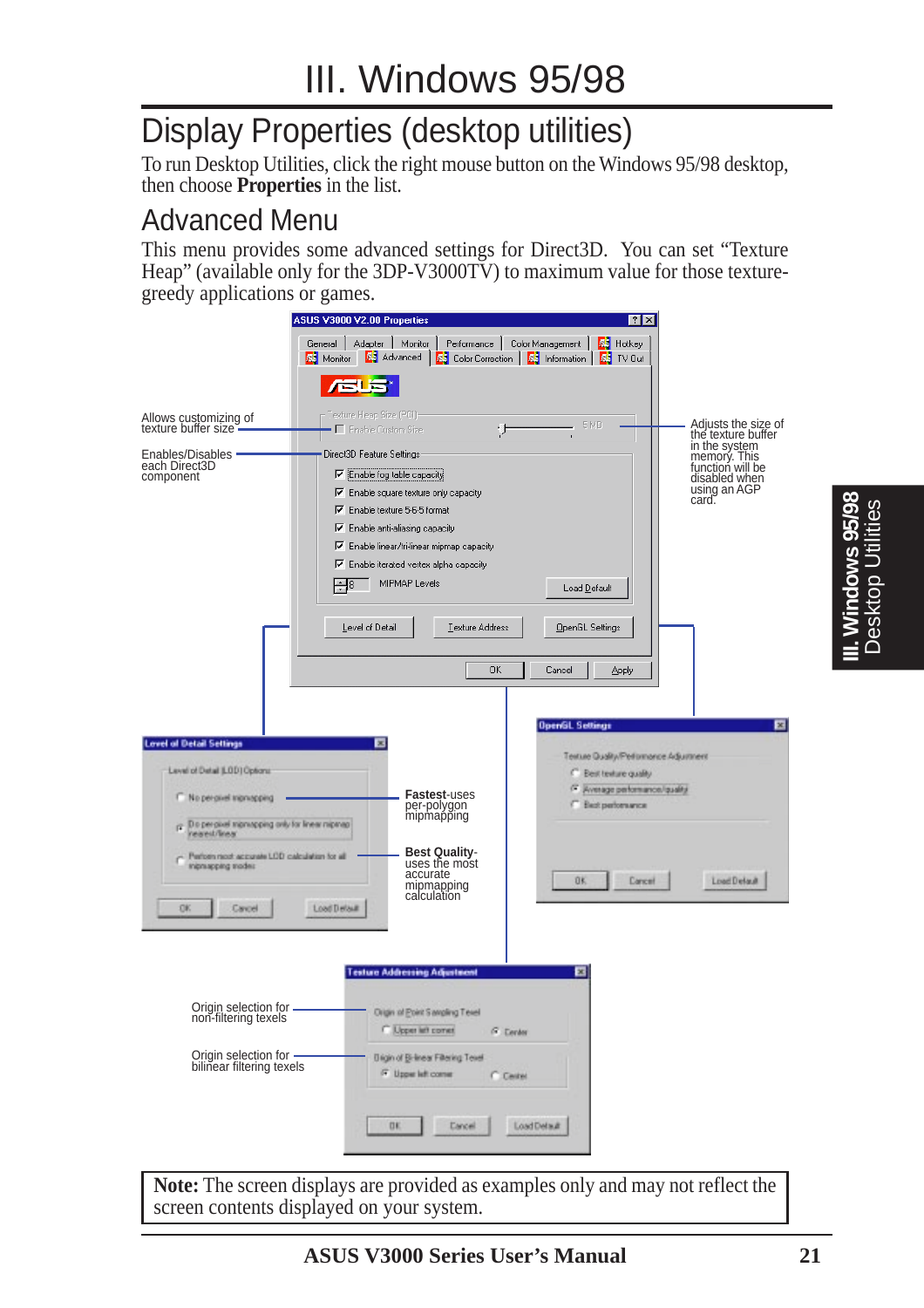# Display Properties (desktop utilities)

To run Desktop Utilities, click the right mouse button on the Windows 95/98 desktop, then choose **Properties** in the list.

#### Advanced Menu

This menu provides some advanced settings for Direct3D. You can set "Texture Heap" (available only for the 3DP-V3000TV) to maximum value for those texturegreedy applications or games.

|                                                                                                             | ASUS V3000 V2.00 Properties                                                                                                                                                                                                    | $ ?  \times$                                                                                       |                                                                                                                 |
|-------------------------------------------------------------------------------------------------------------|--------------------------------------------------------------------------------------------------------------------------------------------------------------------------------------------------------------------------------|----------------------------------------------------------------------------------------------------|-----------------------------------------------------------------------------------------------------------------|
|                                                                                                             | Adapter<br>Monitor<br>Performance  <br>General  <br><b>RS</b> Advanced<br><b>R</b> <sup>3</sup> Monitor<br><b>ES</b> Color Correction   ES Information  <br>- 12                                                               | Color Management<br><b>Fig.</b> Hotkey<br><b>RS</b> TV Out                                         |                                                                                                                 |
| Allows customizing of<br>texture buffer size <sup>-</sup><br>Enables/Disables<br>each Direct3D<br>component | - Texture Heap Size (PCI)-<br>Enable Custom Size<br>Direct3D Feature Settings:<br>Enable fog table capacity                                                                                                                    | 5 MB                                                                                               | Adjusts the size of<br>the texture buffer<br>in the system<br>memorý. This<br>function will be<br>disabled when |
|                                                                                                             | $\triangledown$ Enable square texture only capacity<br>$\nabla$ Enable texture 5-6-5 format<br>Ⅳ Enable anti-aliasing capacity<br>$\nabla$ Enable linear/tri-linear mipmap capacity<br>Ⅳ Enable iterated vertex alpha capacity |                                                                                                    | using an AGP<br>card.                                                                                           |
|                                                                                                             | MIPMAP Levels<br>l÷l∘<br>Level of Detail<br>Texture Address                                                                                                                                                                    | Load Default<br>OpenGL Settings                                                                    |                                                                                                                 |
| <b>Lovel of Detail Settings</b>                                                                             | <b>OK</b><br>×                                                                                                                                                                                                                 | Cancel<br>Apply<br><b>OpenGL Settings</b>                                                          |                                                                                                                 |
| Level of Datal (LBD) Options:                                                                               |                                                                                                                                                                                                                                | Texture Quality/Performance Adjustment<br>C Best texture quality<br>F. Average performance/quality |                                                                                                                 |
| No percent increasing<br>г<br>p: Do perçixel microsping only for linear mipmap<br>rearest/linear            | <b>Fastest-uses</b><br>per-polygon<br>mipmapping                                                                                                                                                                               | <b>Elect performance</b>                                                                           |                                                                                                                 |
| Perform most accurate LCD calculation for all<br>Iniprasping modes<br>OK<br>Cavoel                          | <b>Best Quality-</b><br>uses the most<br>accurate<br>mipmapping<br>calculation<br>Load Delaut                                                                                                                                  | ŪK.<br>Cancel                                                                                      | Load Delault                                                                                                    |
|                                                                                                             | <b>Testure Addressing Adjustment</b>                                                                                                                                                                                           | о                                                                                                  |                                                                                                                 |
| Origin selection for -<br>non-filtering texels                                                              | Origin of Point Sampling Texel<br>C Upper left corner<br>G. Denter                                                                                                                                                             |                                                                                                    |                                                                                                                 |
| Origin selection for -<br>bilinear filtering texels                                                         | <b>Digin of Bi-linear Filtering Texel</b><br>F Upper left comer<br>C Center                                                                                                                                                    |                                                                                                    |                                                                                                                 |
|                                                                                                             | DK.<br><b>Lancel</b>                                                                                                                                                                                                           | LoadDetaut                                                                                         |                                                                                                                 |

**Note:** The screen displays are provided as examples only and may not reflect the screen contents displayed on your system.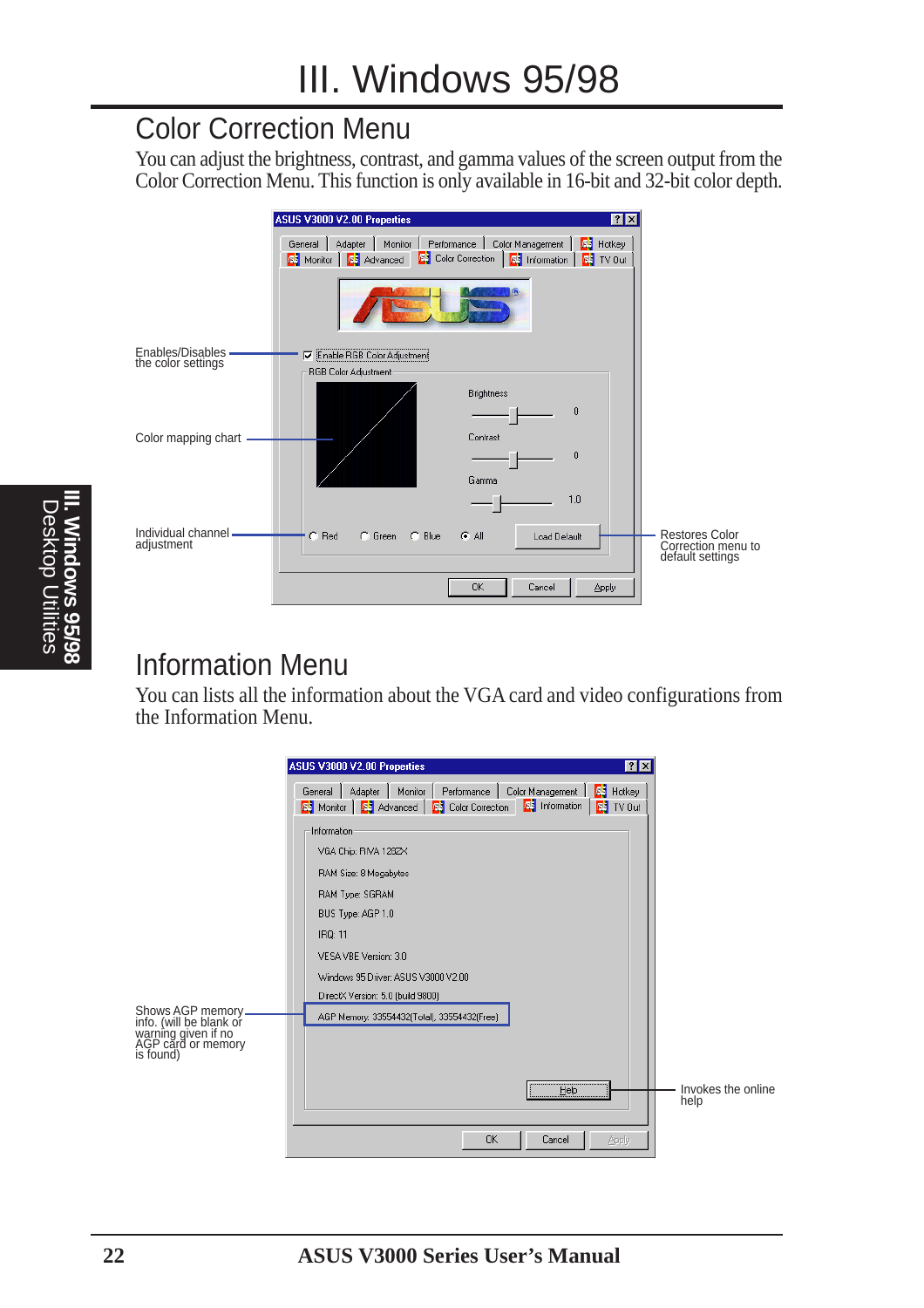#### Color Correction Menu

You can adjust the brightness, contrast, and gamma values of the screen output from the Color Correction Menu. This function is only available in 16-bit and 32-bit color depth.

|                                        | <b>7 X</b><br>ASUS V3000 V2.00 Properties                                                                                                                                                                       |                                        |
|----------------------------------------|-----------------------------------------------------------------------------------------------------------------------------------------------------------------------------------------------------------------|----------------------------------------|
|                                        | Color Management<br>Monitor<br>Performance  <br><b>ES</b> Hotkey<br>Adapter<br>General<br><b>S3</b> Color Correction <b>B3</b> Information <b>B3</b> TV Out<br><b>Advanced</b><br><b>R</b> <sup>5</sup> Monitor |                                        |
|                                        |                                                                                                                                                                                                                 |                                        |
| Enables/Disables<br>the color settings | Enable RGB Color Adjustment<br>RGB Color Adjustment                                                                                                                                                             |                                        |
| Color mapping chart                    | <b>Brightness</b><br>0<br>Contrast<br>$\mathbf 0$                                                                                                                                                               |                                        |
| Individual channel ·                   | Gamma<br>1.0<br>$\cap$ Red<br><b>FAI</b><br>C Green<br>$\cap$ Blue<br>Load Default                                                                                                                              | <b>Restores Color</b>                  |
| adjustment                             | 0K<br>Cancel<br><b>Apply</b>                                                                                                                                                                                    | Correction menu to<br>default settings |

#### Information Menu

You can lists all the information about the VGA card and video configurations from the Information Menu.

|                                                                                                         | ASUS V3000 V2.00 Properties<br>7x                                                                                                                                                                    |                            |
|---------------------------------------------------------------------------------------------------------|------------------------------------------------------------------------------------------------------------------------------------------------------------------------------------------------------|----------------------------|
|                                                                                                         | Monitor<br>Color Management  <br><b>F3</b> Hotkey<br>Adapter<br>Performance<br>General  <br><b>E</b> Information<br><b>A3</b> Monitor   <b>A3</b> Advanced   A3 Color Correction<br><b>F3</b> TV Out |                            |
|                                                                                                         | Information<br>VGA Chip: RIVA 128ZX                                                                                                                                                                  |                            |
|                                                                                                         | RAM Size: 8 Megabytes<br>RAM Type: SGRAM                                                                                                                                                             |                            |
|                                                                                                         | BUS Type: AGP 1.0<br>IRQ: 11                                                                                                                                                                         |                            |
|                                                                                                         | VESA VBE Version: 3.0<br>Windows 95 Driver: ASUS V3000 V2.00                                                                                                                                         |                            |
| Shows AGP memory –<br>info. (will be blank or<br>warning given if no<br>AGP card or memory<br>is found) | DirectX Version: 5.0 (build 9800)<br>AGP Memory: 33554432(Total), 33554432(Free)                                                                                                                     |                            |
|                                                                                                         |                                                                                                                                                                                                      |                            |
|                                                                                                         | Help                                                                                                                                                                                                 | Invokes the online<br>help |
|                                                                                                         | <b>OK</b><br>Cancel<br>Apply                                                                                                                                                                         |                            |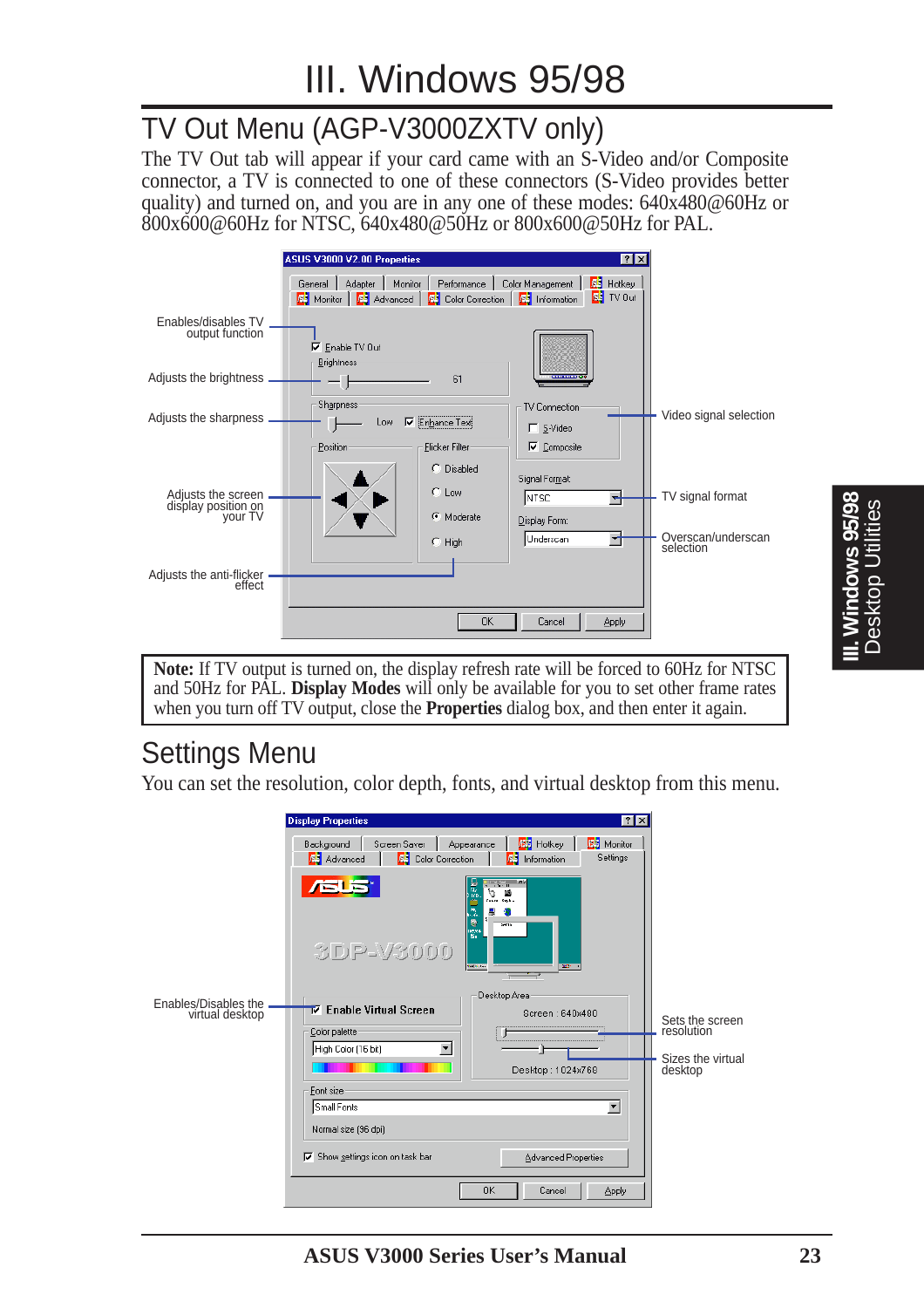#### TV Out Menu (AGP-V3000ZXTV only)

The TV Out tab will appear if your card came with an S-Video and/or Composite connector, a TV is connected to one of these connectors (S-Video provides better quality) and turned on, and you are in any one of these modes: 640x480@60Hz or 800x600@60Hz for NTSC, 640x480@50Hz or 800x600@50Hz for PAL.

|                                                      | ASUS V3000 V2.00 Properties                                                                                            | 7x                                                      |                                 |
|------------------------------------------------------|------------------------------------------------------------------------------------------------------------------------|---------------------------------------------------------|---------------------------------|
|                                                      | Monitor<br>General<br>Adapter<br>Performance<br><b>AS</b> Monitor   AS Advanced   AS Color Correction   AS Information | <b>Fi</b> Hotkey<br>Color Management<br><b>R</b> TV Out |                                 |
| Enables/disables TV<br>output function               | $\nabla$ Enable TV Out<br><b>Brightness</b>                                                                            |                                                         |                                 |
| Adjusts the brightness                               | 61<br>- 1                                                                                                              | <b>CONTINUE</b>                                         |                                 |
| Adjusts the sharpness.                               | <b>Sharpness:</b><br>Enhance Text<br>⊽<br>Low                                                                          | <b>TV Connection</b><br>$\Gamma$ S-Video                | Video signal selection          |
|                                                      | Position<br><b>Flicker Filter</b>                                                                                      | $\nabla$ Composite                                      |                                 |
| Adjusts the screen<br>display position on<br>your TV | C Disabled<br>$C$ Low<br>Moderate                                                                                      | Signal Format:<br>NTSC.                                 | TV signal format                |
|                                                      | $C$ High                                                                                                               | Display Form:<br>Underscan<br>▼↑                        | Overscan/underscan<br>selection |
| - Adjusts the anti-flicker<br>effect                 |                                                                                                                        |                                                         |                                 |
|                                                      |                                                                                                                        | Cancel<br><b>OK</b><br>Apply                            |                                 |

**Note:** If TV output is turned on, the display refresh rate will be forced to 60Hz for NTSC and 50Hz for PAL. **Display Modes** will only be available for you to set other frame rates when you turn off TV output, close the **Properties** dialog box, and then enter it again.

#### Settings Menu

You can set the resolution, color depth, fonts, and virtual desktop from this menu.

|                                         | <b>Display Properties</b>                                                      | 7x                                                                                                                                                                                                                                                                                                                                                                                                                                                                                                                                                                                                  |                              |
|-----------------------------------------|--------------------------------------------------------------------------------|-----------------------------------------------------------------------------------------------------------------------------------------------------------------------------------------------------------------------------------------------------------------------------------------------------------------------------------------------------------------------------------------------------------------------------------------------------------------------------------------------------------------------------------------------------------------------------------------------------|------------------------------|
|                                         | Screen Saver<br>Background<br><b>R3</b> Color Correction<br><b>RS</b> Advanced | 图 Hotkey<br>图 Monitor<br>Appearance<br>Settings<br>лt I<br>Information                                                                                                                                                                                                                                                                                                                                                                                                                                                                                                                              |                              |
|                                         | <b>/SUS</b><br>3DP-V3000                                                       | link<br>$3 - 11$<br>丽<br>$\begin{tabular}{ c c } \hline $\circ$ & $\mathbf{m}$ \\ \hline $\mathbf{m}$ & $\mathbf{m}$ \\ \hline $\mathbf{m}$ & $\mathbf{m}$ \\ \hline $\mathbf{m}$ & $\mathbf{m}$ \\ \hline $\mathbf{m}$ & $\mathbf{m}$ \\ \hline $\mathbf{m}$ & $\mathbf{m}$ \\ \hline $\mathbf{m}$ & $\mathbf{m}$ \\ \hline $\mathbf{m}$ & $\mathbf{m}$ \\ \hline $\mathbf{m}$ & $\mathbf{m}$ \\ \hline $\mathbf{m}$ & $\mathbf{m}$ \\ \hline $\mathbf{m}$ & $\mathbf{m}$ \\ \hline $\mathbf{m}$ & $\mathbf{m}$ \\ \hline $\mathbf{$<br>Ą,<br>惪<br>eğ.<br>Selfin<br><b>RO</b><br><b>CONTRACTOR</b> |                              |
|                                         |                                                                                | Desktop Area                                                                                                                                                                                                                                                                                                                                                                                                                                                                                                                                                                                        |                              |
| Enables/Disables the<br>virtual desktop | $\bar{\nabla}$ Enable Virtual Screen                                           | Screen: 640x480                                                                                                                                                                                                                                                                                                                                                                                                                                                                                                                                                                                     | Sets the screen              |
|                                         | Color palette<br>High Color (16 bit)                                           |                                                                                                                                                                                                                                                                                                                                                                                                                                                                                                                                                                                                     | resolution                   |
|                                         |                                                                                | Desktop: 1024x768                                                                                                                                                                                                                                                                                                                                                                                                                                                                                                                                                                                   | Sizes the virtual<br>desktop |
|                                         | Font size                                                                      |                                                                                                                                                                                                                                                                                                                                                                                                                                                                                                                                                                                                     |                              |
|                                         | Small Fonts                                                                    | $\blacktriangledown$                                                                                                                                                                                                                                                                                                                                                                                                                                                                                                                                                                                |                              |
|                                         | Normal size (96 dpi)                                                           |                                                                                                                                                                                                                                                                                                                                                                                                                                                                                                                                                                                                     |                              |
|                                         | Show settings icon on task bar<br>⊽                                            | <b>Advanced Properties</b>                                                                                                                                                                                                                                                                                                                                                                                                                                                                                                                                                                          |                              |
|                                         |                                                                                | <b>OK</b><br>Cancel<br><b>Apply</b>                                                                                                                                                                                                                                                                                                                                                                                                                                                                                                                                                                 |                              |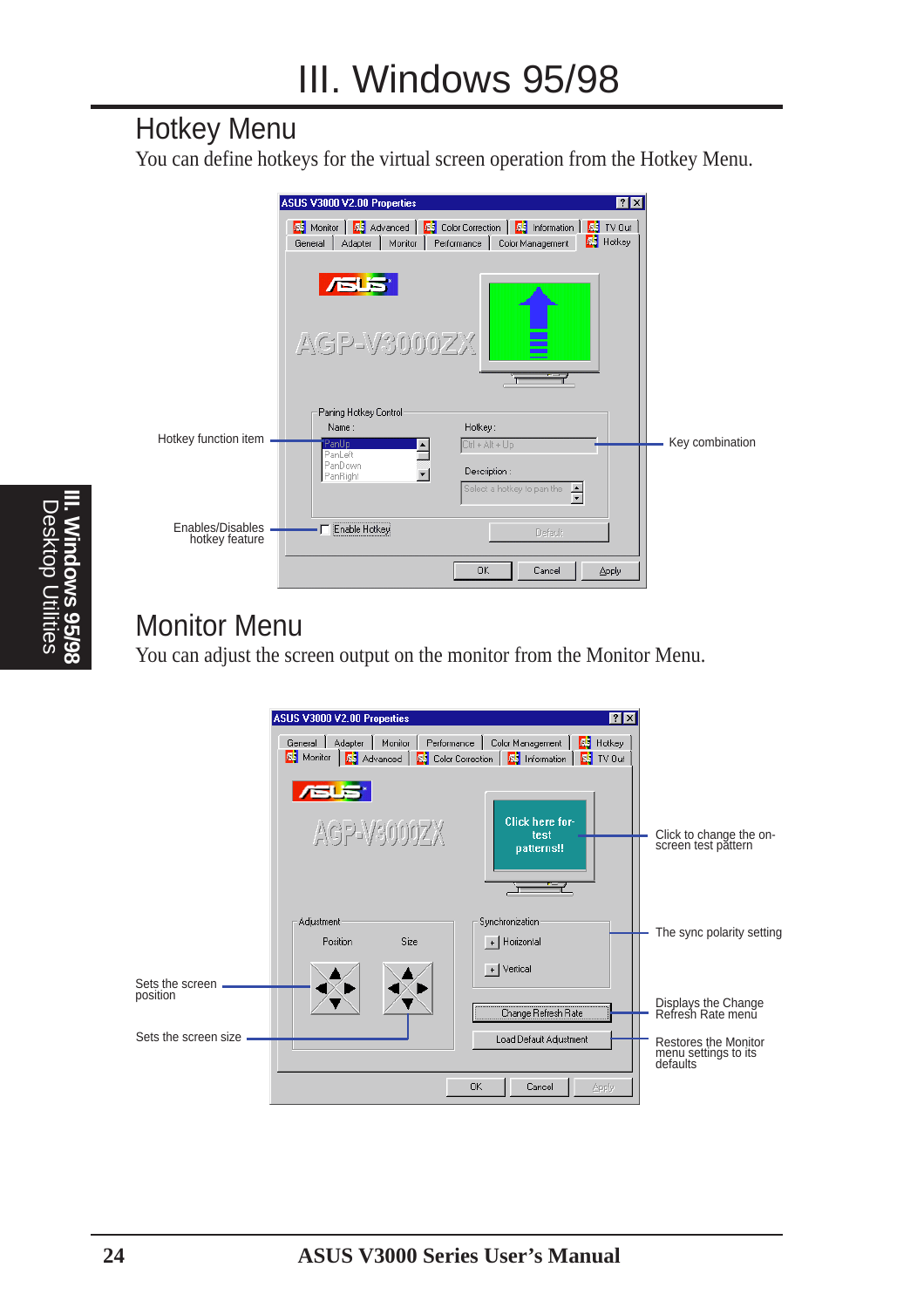#### Hotkey Menu

You can define hotkeys for the virtual screen operation from the Hotkey Menu.



### Monitor Menu

You can adjust the screen output on the monitor from the Monitor Menu.

|                                                     | ASUS V3000 V2.00 Properties                                                                                                    |                                                                         | <b>7 X</b> |                                                          |
|-----------------------------------------------------|--------------------------------------------------------------------------------------------------------------------------------|-------------------------------------------------------------------------|------------|----------------------------------------------------------|
|                                                     | Monitor<br>Adapter<br>General  <br><b>AS</b> Monitor   <b>AS</b> Advanced   <b>AS</b> Color Correction   <b>AS</b> Information | Performance<br>Color Management<br><b>Fi</b> Hotkey<br><b>ES</b> TV Out |            |                                                          |
|                                                     | <b>/GUS</b><br>AGP-V3000ZX                                                                                                     | Click here for-<br>test<br>patterns!!                                   |            | Click to change the on-<br>screen test pattern           |
|                                                     | Adjustment<br>Position<br>Size                                                                                                 | Synchronization<br>+ Horizontal<br>$+$ Vertical                         |            | The sync polarity setting                                |
| Sets the screen<br>position<br>Sets the screen size |                                                                                                                                | Change Refresh Rate<br>Load Default Adjustment                          |            | Displays the Change<br>Refresh Rate menu                 |
|                                                     |                                                                                                                                | <b>OK</b><br>Cancel<br>Apply                                            |            | Restores the Monitor<br>menu settings to its<br>defaults |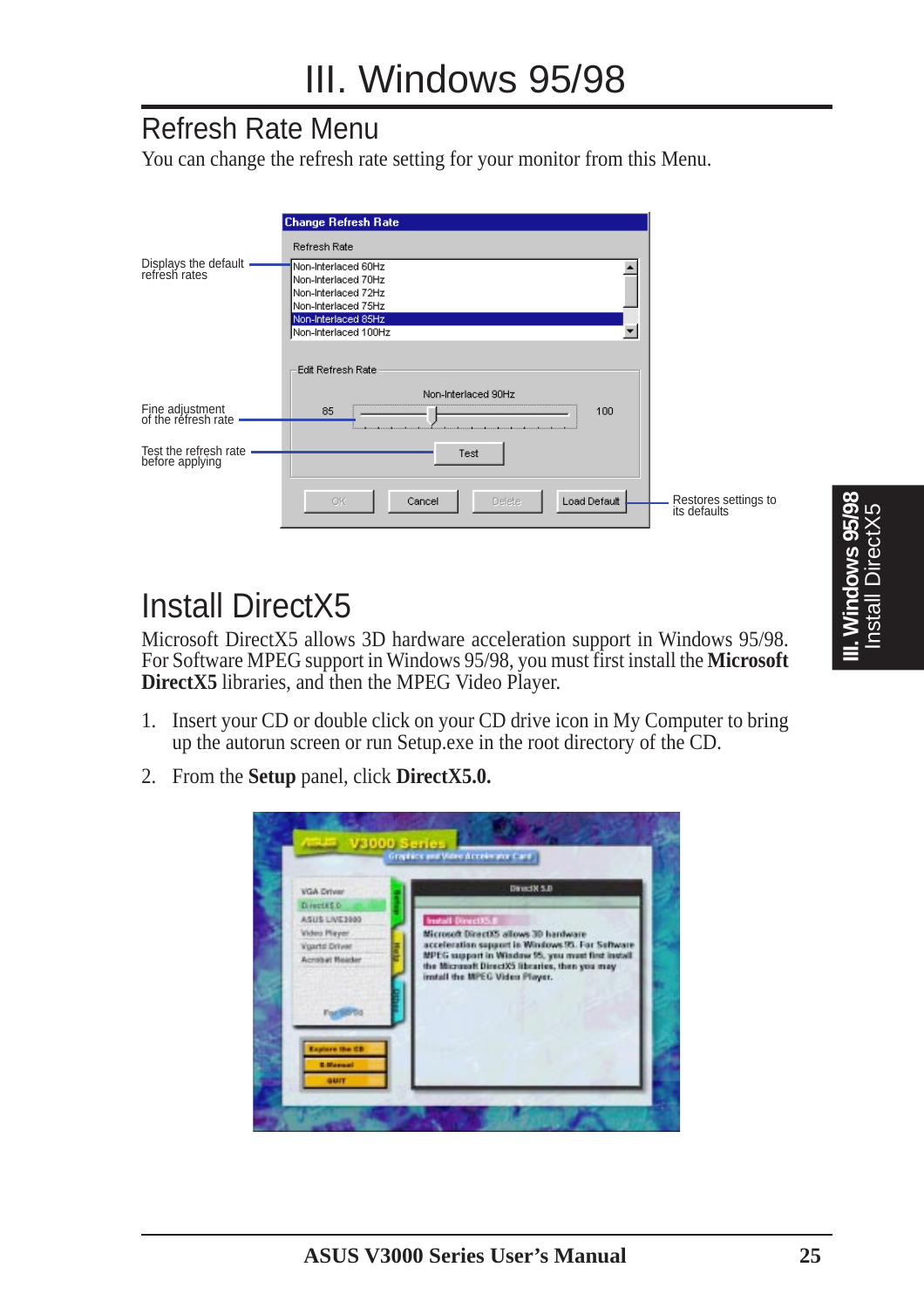#### Refresh Rate Menu

You can change the refresh rate setting for your monitor from this Menu.

|                                          | <b>Change Refresh Rate</b>                                                                                                  |                                      |
|------------------------------------------|-----------------------------------------------------------------------------------------------------------------------------|--------------------------------------|
|                                          | Refresh Rate                                                                                                                |                                      |
| Displays the default -<br>refresh rates  | Non-Interlaced 60Hz<br>Non-Interlaced 70Hz<br>Non-Interlaced 72Hz                                                           |                                      |
|                                          | Non-Interlaced 75Hz<br>Non-Interlaced 85Hz<br>Non-Interlaced 100Hz<br>▼                                                     |                                      |
|                                          | Edit Refresh Rate                                                                                                           |                                      |
|                                          | Non-Interlaced 90Hz                                                                                                         |                                      |
| Fine adjustment<br>of the refresh rate   | 85<br>100<br>adores e adores e estados de la constitución de la constitución de la constitución de la constitución de la co |                                      |
| Test the refresh rate<br>before applying | Test                                                                                                                        |                                      |
|                                          | ОK<br>Load Default<br>Cancel<br><b>Delete</b>                                                                               | Restores settings to<br>its defaults |

# Install DirectX5

Microsoft DirectX5 allows 3D hardware acceleration support in Windows 95/98. For Software MPEG support in Windows 95/98, you must first install the **Microsoft DirectX5** libraries, and then the MPEG Video Player.

- 1. Insert your CD or double click on your CD drive icon in My Computer to bring up the autorun screen or run Setup.exe in the root directory of the CD.
- 2. From the **Setup** panel, click **DirectX5.0.**

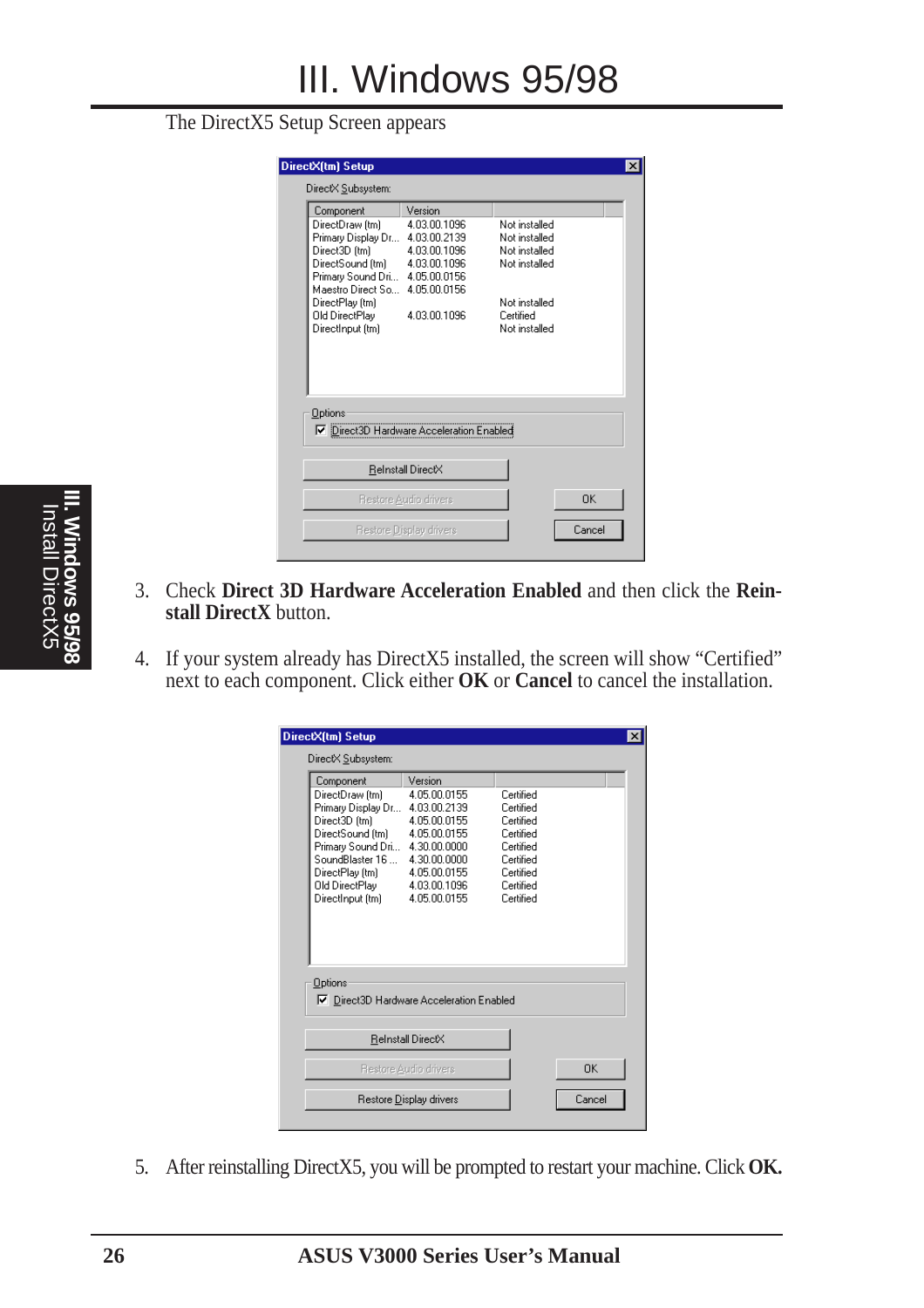#### The DirectX5 Setup Screen appears

| DirectX Subsystem:                                              |                       |               |           |
|-----------------------------------------------------------------|-----------------------|---------------|-----------|
| Component                                                       | Version               |               |           |
| DirectDraw [tm]                                                 | 4.03.00.1096          | Not installed |           |
| Primary Display Dr 4.03.00.2139                                 |                       | Not installed |           |
| Direct3D (tm)                                                   | 4.03.00.1096          | Not installed |           |
| DirectSound (tm) 4.03.00.1096<br>Primary Sound Dri 4.05.00.0156 |                       | Not installed |           |
| Maestro Direct So 4.05.00.0156                                  |                       |               |           |
| DirectPlay (tm)                                                 |                       | Not installed |           |
| Old DirectPlay                                                  | 4.03.00.1096          | Certified     |           |
| DirectInput (tm)                                                |                       | Not installed |           |
|                                                                 |                       |               |           |
| Options<br>□ Direct3D Hardware Acceleration Enabled             |                       |               |           |
|                                                                 | ReInstall DirectX     |               |           |
|                                                                 | Restore Audio drivers |               | <b>DK</b> |

- 3. Check **Direct 3D Hardware Acceleration Enabled** and then click the **Reinstall DirectX** button.
- 4. If your system already has DirectX5 installed, the screen will show "Certified" next to each component. Click either **OK** or **Cancel** to cancel the installation.

| DirectX(tm) Setup                                               |                                          |                        |           | × |
|-----------------------------------------------------------------|------------------------------------------|------------------------|-----------|---|
| DirectX Subsystem:                                              |                                          |                        |           |   |
| Component                                                       | Version                                  |                        |           |   |
| DirectDraw (tm)<br>Primary Display Dr 4.03.00.2139              | 4.05.00.0155                             | Certified<br>Certified |           |   |
| Direct3D (tm)                                                   | 4.05.00.0155                             | Certified              |           |   |
| DirectSound (tm) 4.05.00.0155<br>Primary Sound Dri 4.30.00.0000 |                                          | Certified<br>Certified |           |   |
| SoundBlaster 16                                                 | 4.30.00.0000                             | Certified              |           |   |
| DirectPlay (tm) 4.05.00.0155                                    |                                          | Certified<br>Certified |           |   |
| Old DirectPlay 4.03.00.1096<br>DirectInput (tm)                 | 4.05.00.0155                             | Certified              |           |   |
|                                                                 |                                          |                        |           |   |
|                                                                 |                                          |                        |           |   |
|                                                                 |                                          |                        |           |   |
| Options                                                         |                                          |                        |           |   |
|                                                                 | □ Direct3D Hardware Acceleration Enabled |                        |           |   |
|                                                                 |                                          |                        |           |   |
|                                                                 | ReInstall DirectX                        |                        |           |   |
|                                                                 | Restore Audio drivers                    |                        | <b>nk</b> |   |
|                                                                 | Restore Display drivers                  |                        | Cancel    |   |
|                                                                 |                                          |                        |           |   |

5. After reinstalling DirectX5, you will be prompted to restart your machine. Click **OK.**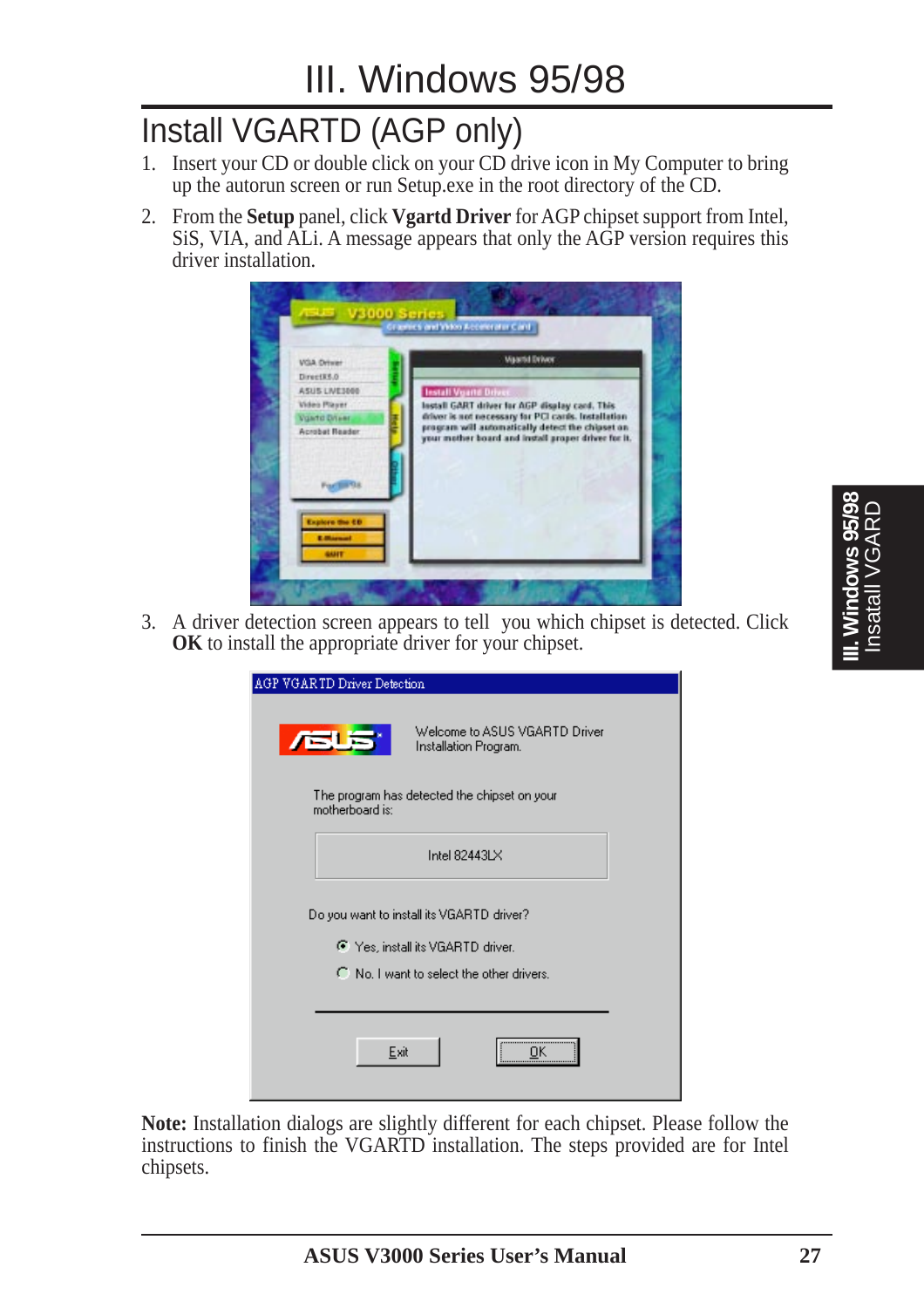# Install VGARTD (AGP only)

- 1. Insert your CD or double click on your CD drive icon in My Computer to bring up the autorun screen or run Setup.exe in the root directory of the CD.
- 2. From the **Setup** panel, click **Vgartd Driver** for AGP chipset support from Intel, SiS, VIA, and ALi. A message appears that only the AGP version requires this driver installation.



3. A driver detection screen appears to tell you which chipset is detected. Click **OK** to install the appropriate driver for your chipset.

| AGP VGARTD Driver Detection                                     |                                                        |
|-----------------------------------------------------------------|--------------------------------------------------------|
|                                                                 |                                                        |
| <b>ASUS</b>                                                     | Welcome to ASUS VGARTD Driver<br>Installation Program. |
| The program has detected the chipset on your<br>motherboard is: |                                                        |
|                                                                 | Intel 82443LX                                          |
| Do you want to install its VGARTD driver?                       |                                                        |
| ● Yes, install its VGARTD driver.                               |                                                        |
| C No. I want to select the other drivers.                       |                                                        |
|                                                                 |                                                        |
| Exit                                                            | <br>OΚ                                                 |

**Note:** Installation dialogs are slightly different for each chipset. Please follow the instructions to finish the VGARTD installation. The steps provided are for Intel chipsets.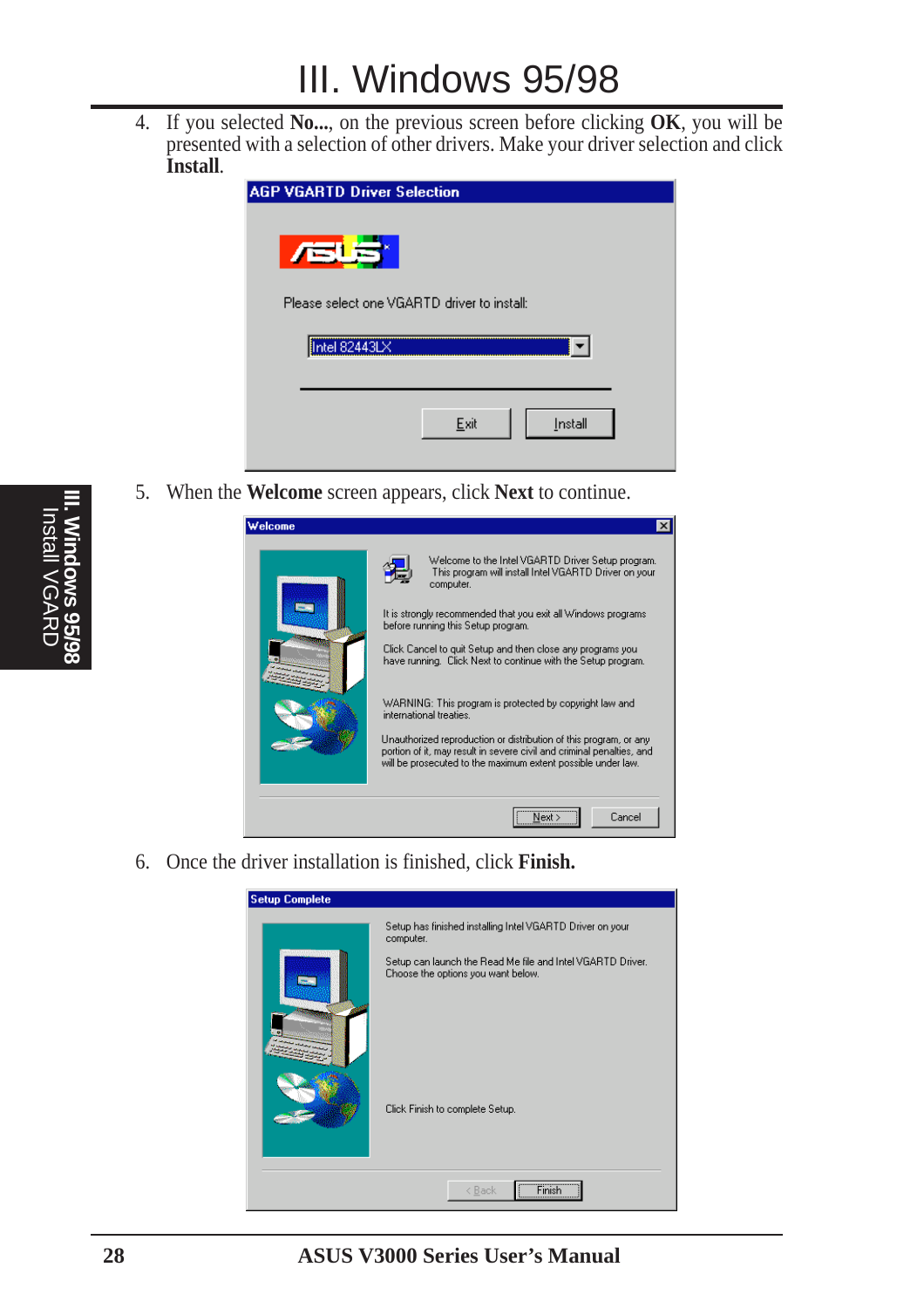4. If you selected **No...**, on the previous screen before clicking **OK**, you will be presented with a selection of other drivers. Make your driver selection and click **Install**.

| <b>AGP VGARTD Driver Selection</b>          |  |
|---------------------------------------------|--|
| <b>ASUS</b>                                 |  |
| Please select one VGARTD driver to install: |  |
| Intel 82443LX                               |  |
| Exit<br>Install                             |  |

5. When the **Welcome** screen appears, click **Next** to continue.

| Welcome | ×                                                                                                                                                                                                                                                                                                                                                                                                                                                                                                                                                                                                                                                                  |
|---------|--------------------------------------------------------------------------------------------------------------------------------------------------------------------------------------------------------------------------------------------------------------------------------------------------------------------------------------------------------------------------------------------------------------------------------------------------------------------------------------------------------------------------------------------------------------------------------------------------------------------------------------------------------------------|
|         | Welcome to the Intel VGARTD Driver Setup program.<br>This program will install Intel VGARTD Driver on your<br>computer.<br>It is strongly recommended that you exit all Windows programs.<br>before running this Setup program.<br>Click Cancel to quit Setup and then close any programs you.<br>have running. Click Next to continue with the Setup program.<br>WARNING: This program is protected by copyright law and<br>international treaties.<br>Unauthorized reproduction or distribution of this program, or any<br>portion of it, may result in severe civil and criminal penalties, and<br>will be prosecuted to the maximum extent possible under law. |
|         | Cancel                                                                                                                                                                                                                                                                                                                                                                                                                                                                                                                                                                                                                                                             |

6. Once the driver installation is finished, click **Finish.**

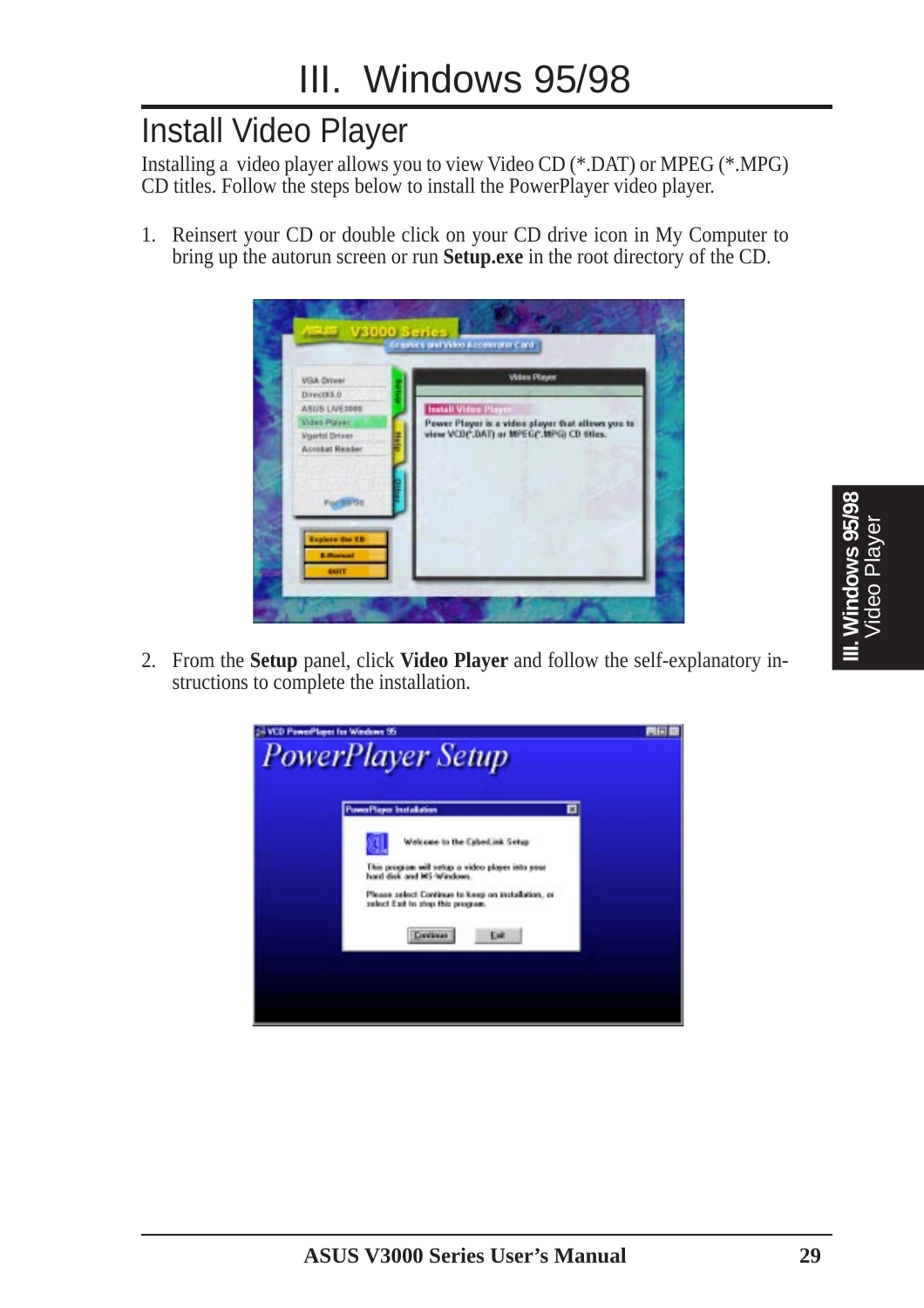### Install Video Player

Installing a video player allows you to view Video CD (\*.DAT) or MPEG (\*.MPG) CD titles. Follow the steps below to install the PowerPlayer video player.

1. Reinsert your CD or double click on your CD drive icon in My Computer to bring up the autorun screen or run **Setup.exe** in the root directory of the CD.



2. From the **Setup** panel, click **Video Player** and follow the self-explanatory instructions to complete the installation.

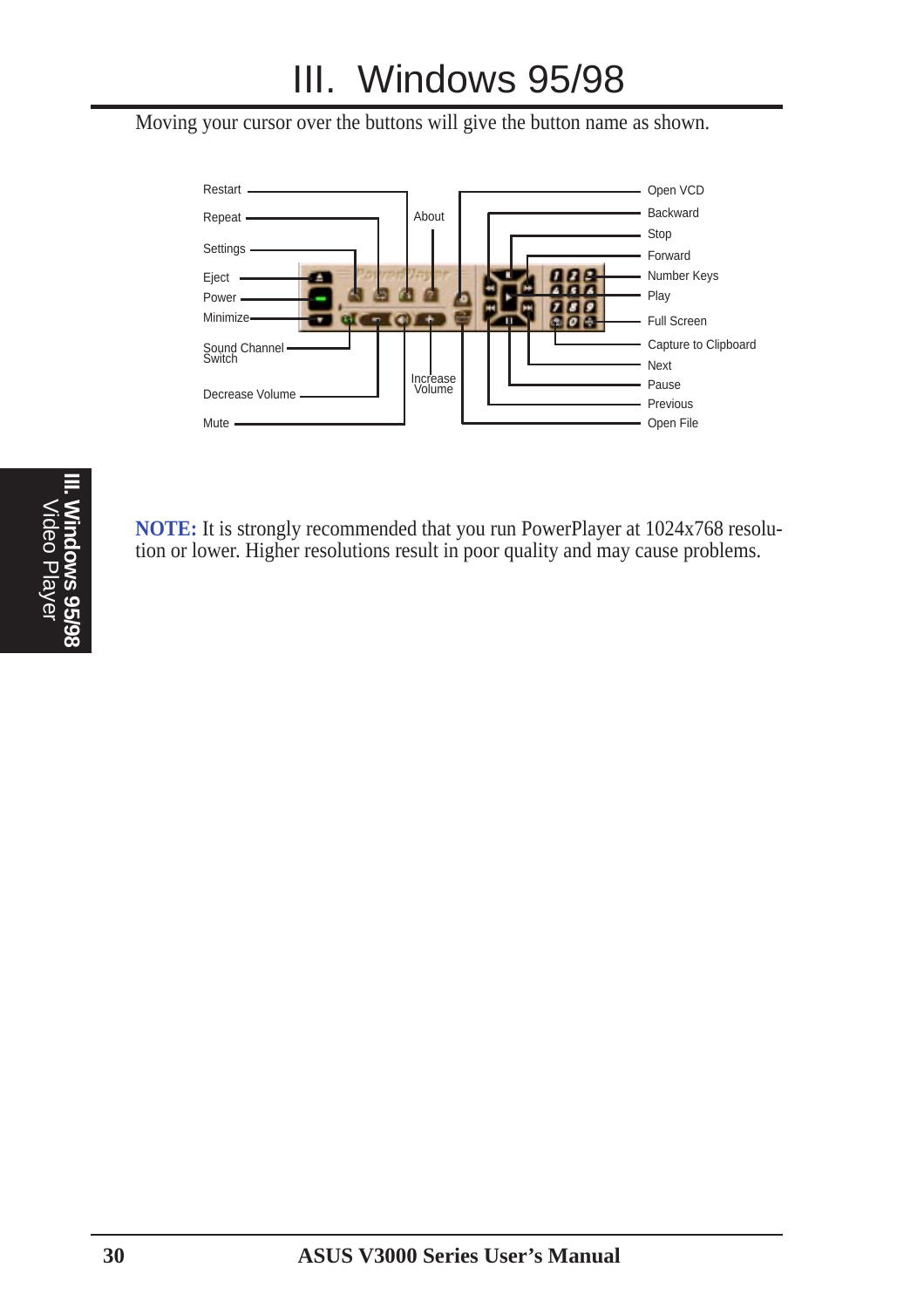# III. Windows 95/98

Moving your cursor over the buttons will give the button name as shown.



**NOTE:** It is strongly recommended that you run PowerPlayer at 1024x768 resolution or lower. Higher resolutions result in poor quality and may cause problems.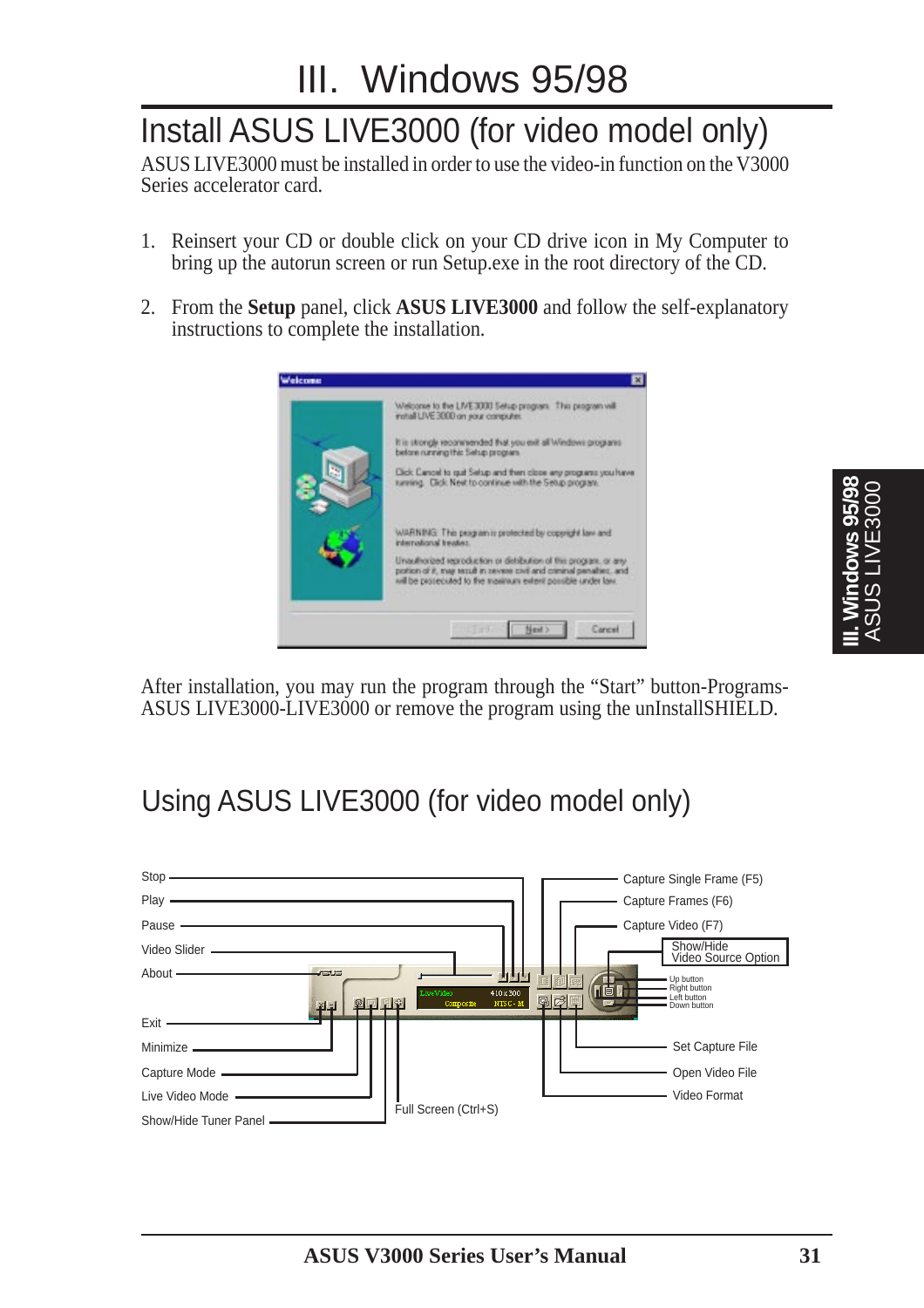# Install ASUS LIVE3000 (for video model only)

ASUS LIVE3000 must be installed in order to use the video-in function on the V3000 Series accelerator card.

- 1. Reinsert your CD or double click on your CD drive icon in My Computer to bring up the autorun screen or run Setup.exe in the root directory of the CD.
- 2. From the **Setup** panel, click **ASUS LIVE3000** and follow the self-explanatory instructions to complete the installation.



After installation, you may run the program through the "Start" button-Programs-ASUS LIVE3000-LIVE3000 or remove the program using the unInstallSHIELD.

### Using ASUS LIVE3000 (for video model only)



**III. Windows 95/98** ASUS LIVE3000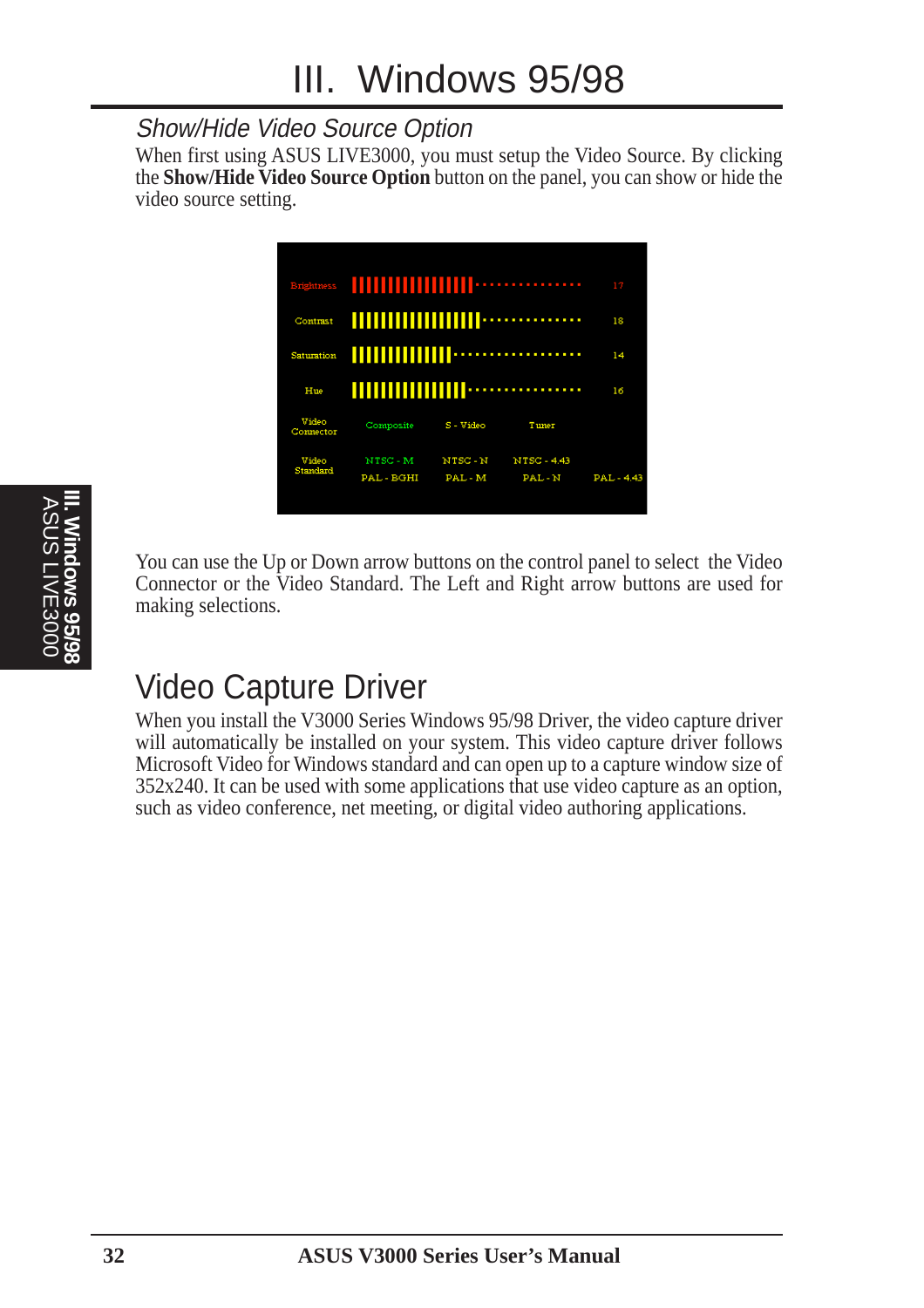#### Show/Hide Video Source Option

When first using ASUS LIVE3000, you must setup the Video Source. By clicking the **Show/Hide Video Source Option** button on the panel, you can show or hide the video source setting.



You can use the Up or Down arrow buttons on the control panel to select the Video Connector or the Video Standard. The Left and Right arrow buttons are used for making selections.

# Video Capture Driver

When you install the V3000 Series Windows 95/98 Driver, the video capture driver will automatically be installed on your system. This video capture driver follows Microsoft Video for Windows standard and can open up to a capture window size of 352x240. It can be used with some applications that use video capture as an option, such as video conference, net meeting, or digital video authoring applications.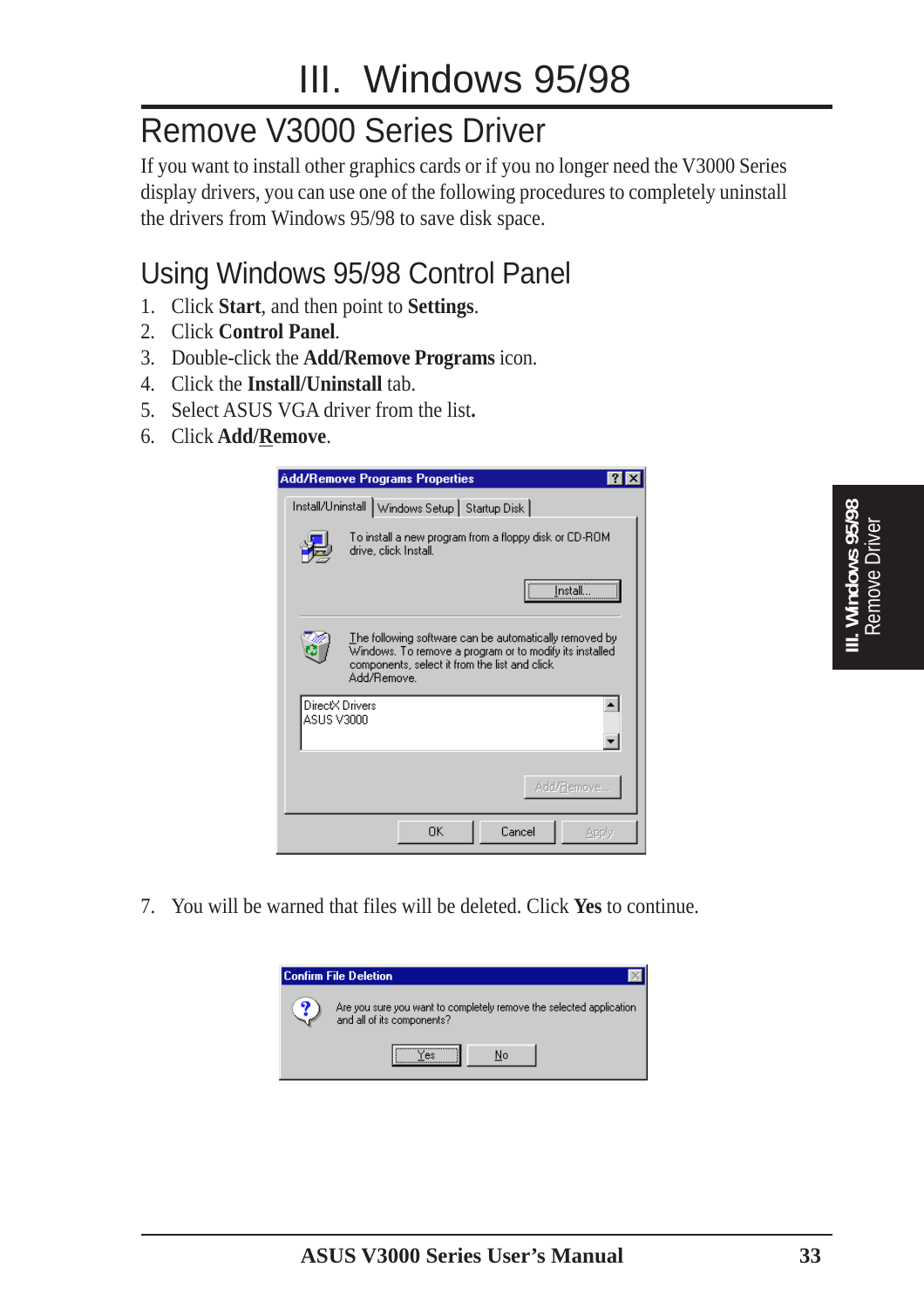# Remove V3000 Series Driver

If you want to install other graphics cards or if you no longer need the V3000 Series display drivers, you can use one of the following procedures to completely uninstall the drivers from Windows 95/98 to save disk space.

### Using Windows 95/98 Control Panel

- 1. Click **Start**, and then point to **Settings**.
- 2. Click **Control Panel**.
- 3. Double-click the **Add/Remove Programs** icon.
- 4. Click the **Install/Uninstall** tab.
- 5. Select ASUS VGA driver from the list**.**
- 6. Click **Add/Remove**.

|            | <b>Add/Remove Programs Properties</b>                                                                                                                                             |
|------------|-----------------------------------------------------------------------------------------------------------------------------------------------------------------------------------|
|            | Install/Uninstall   Windows Setup   Startup Disk                                                                                                                                  |
|            | To install a new program from a floppy disk or CD-ROM<br>drive, click Install.                                                                                                    |
|            | <u>imstall.</u>                                                                                                                                                                   |
|            | The following software can be automatically removed by<br>Windows. To remove a program or to modify its installed<br>components, select it from the list and click<br>Add/Remove. |
| ASUS V3000 | DirectX Drivers                                                                                                                                                                   |
|            | Add/Remove                                                                                                                                                                        |
|            | Cancel<br>OΚ<br>Apply                                                                                                                                                             |

7. You will be warned that files will be deleted. Click **Yes** to continue.

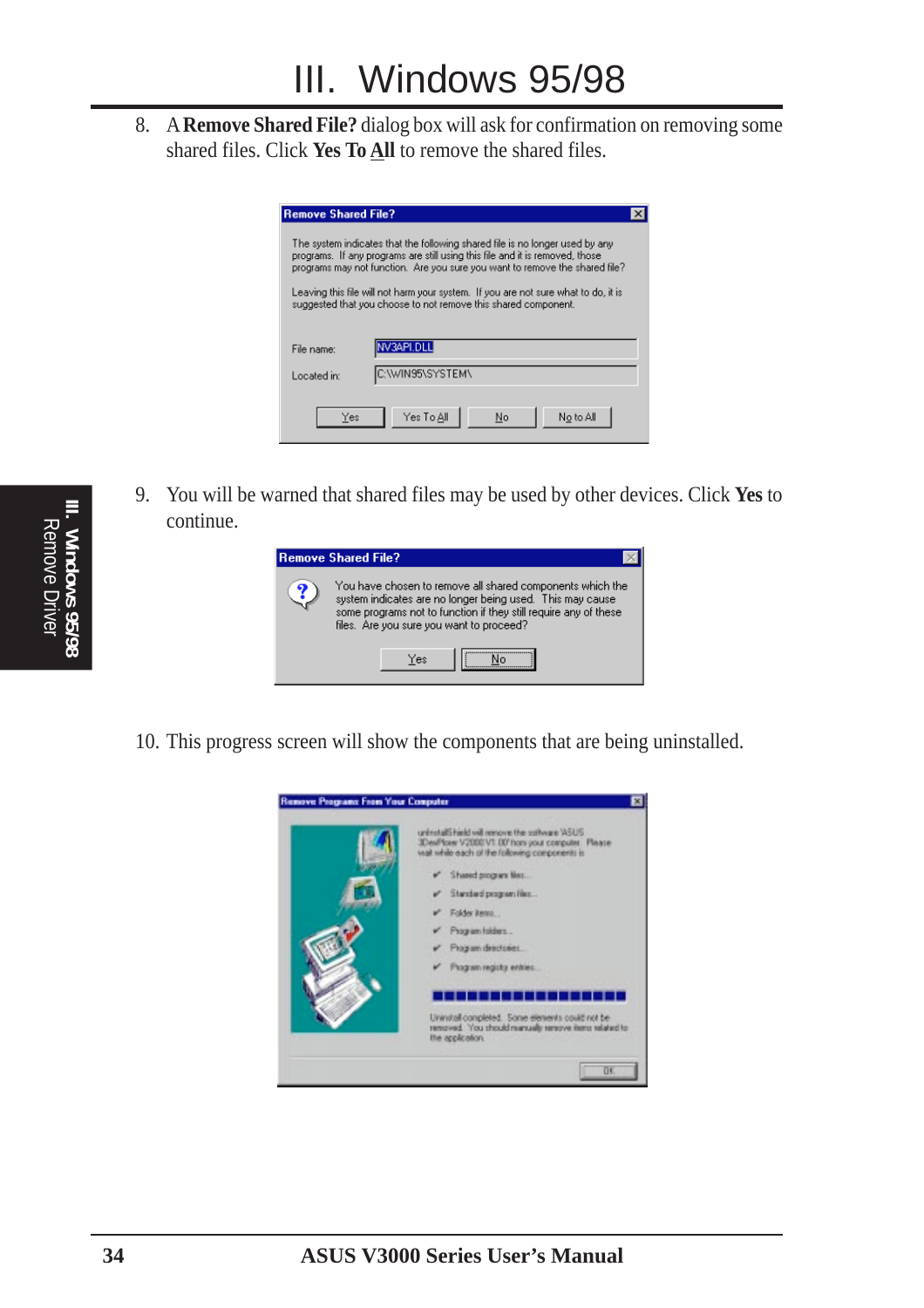8. A **Remove Shared File?** dialog box will ask for confirmation on removing some shared files. Click **Yes To All** to remove the shared files.

| <b>Remove Shared File?</b> |                                                                                                                                                                                                                                             |
|----------------------------|---------------------------------------------------------------------------------------------------------------------------------------------------------------------------------------------------------------------------------------------|
|                            | The system indicates that the following shared file is no longer used by any<br>programs. If any programs are still using this file and it is removed, those<br>programs may not function. Are you sure you want to remove the shared file? |
|                            | Leaving this file will not harm your system. If you are not sure what to do, it is<br>suggested that you choose to not remove this shared component.                                                                                        |
|                            |                                                                                                                                                                                                                                             |
|                            |                                                                                                                                                                                                                                             |
| File name:                 | VV3API.DLL                                                                                                                                                                                                                                  |
| Located in:                | C:\WIN95\SYSTEM\                                                                                                                                                                                                                            |
|                            |                                                                                                                                                                                                                                             |

9. You will be warned that shared files may be used by other devices. Click **Yes** to continue.

| <b>Remove Shared File?</b>                                                                                                                                                                                                             |
|----------------------------------------------------------------------------------------------------------------------------------------------------------------------------------------------------------------------------------------|
| You have chosen to remove all shared components which the<br>system indicates are no longer being used. This may cause<br>some programs not to function if they still require any of these<br>files. Are you sure you want to proceed? |
| Yes                                                                                                                                                                                                                                    |

10. This progress screen will show the components that are being uninstalled.

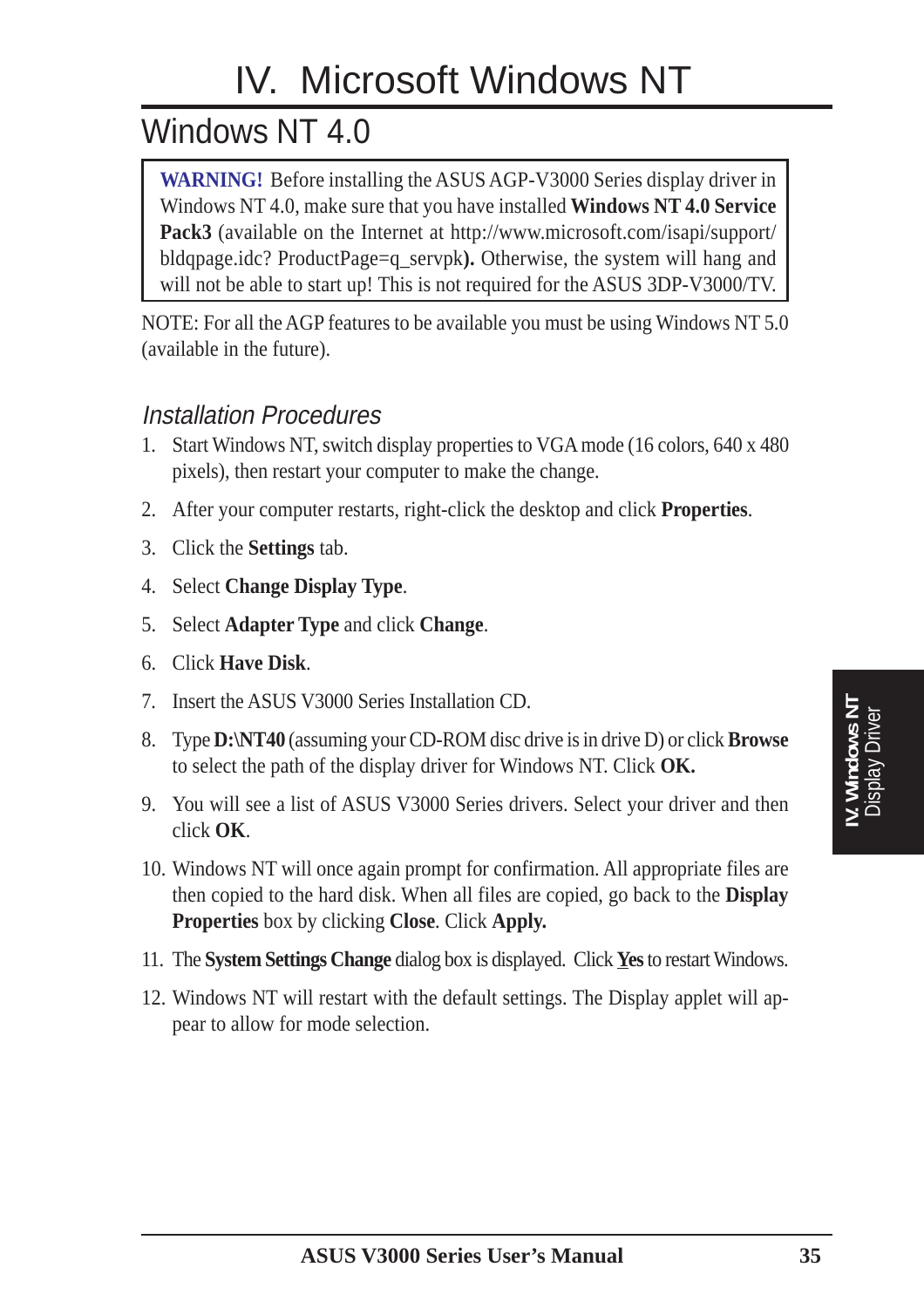# IV. Microsoft Windows NT

# Windows NT 4.0

**WARNING!** Before installing the ASUS AGP-V3000 Series display driver in Windows NT 4.0, make sure that you have installed **Windows NT 4.0 Service Pack3** (available on the Internet at http://www.microsoft.com/isapi/support/ bldqpage.idc? ProductPage=q\_servpk**).** Otherwise, the system will hang and will not be able to start up! This is not required for the ASUS 3DP-V3000/TV.

NOTE: For all the AGP features to be available you must be using Windows NT 5.0 (available in the future).

#### Installation Procedures

- 1. Start Windows NT, switch display properties to VGA mode (16 colors, 640 x 480 pixels), then restart your computer to make the change.
- 2. After your computer restarts, right-click the desktop and click **Properties**.
- 3. Click the **Settings** tab.
- 4. Select **Change Display Type**.
- 5. Select **Adapter Type** and click **Change**.
- 6. Click **Have Disk**.
- 7. Insert the ASUS V3000 Series Installation CD.
- 8. Type **D:\NT40** (assuming your CD-ROM disc drive is in drive D) or click **Browse** to select the path of the display driver for Windows NT. Click **OK.**
- 9. You will see a list of ASUS V3000 Series drivers. Select your driver and then click **OK**.
- 10. Windows NT will once again prompt for confirmation. All appropriate files are then copied to the hard disk. When all files are copied, go back to the **Display Properties** box by clicking **Close**. Click **Apply.**
- 11. The **System Settings Change** dialog box is displayed. Click **Yes** to restart Windows.
- 12. Windows NT will restart with the default settings. The Display applet will appear to allow for mode selection.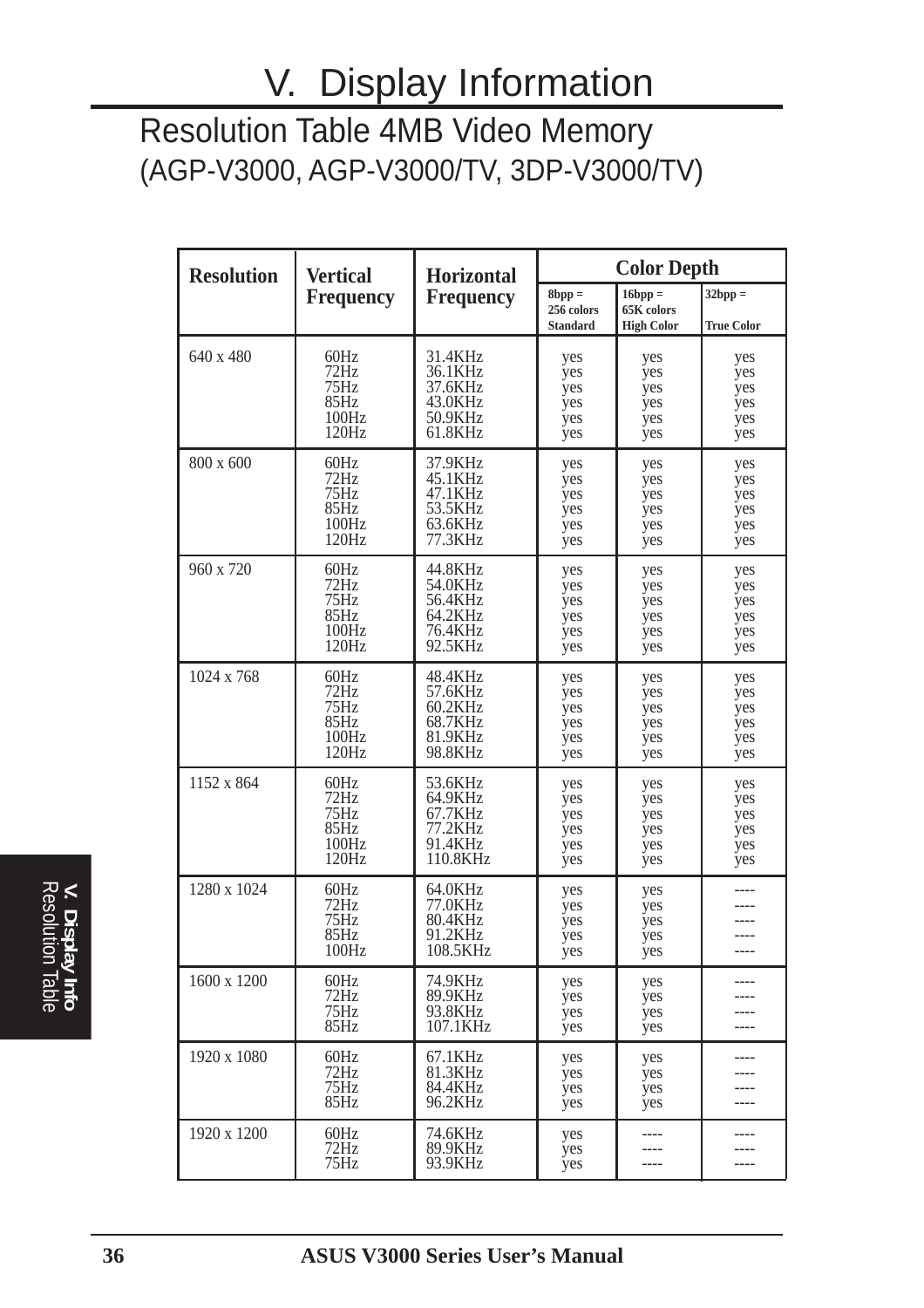# V. Display Information

### Resolution Table 4MB Video Memory (AGP-V3000, AGP-V3000/TV, 3DP-V3000/TV)

| <b>Resolution</b> | <b>Vertical</b>                                | <b>Horizontal</b>                                               | <b>Color Depth</b>                        |                                                 |                                        |  |
|-------------------|------------------------------------------------|-----------------------------------------------------------------|-------------------------------------------|-------------------------------------------------|----------------------------------------|--|
|                   | <b>Frequency</b>                               | <b>Frequency</b>                                                | $8bpp =$<br>256 colors<br><b>Standard</b> | $16$ bpp $=$<br>65K colors<br><b>High Color</b> | $32bpp =$<br><b>True Color</b>         |  |
| 640 x 480         | 60Hz<br>72Hz<br>75Hz<br>85Hz<br>100Hz<br>120Hz | 31.4KHz<br>36.1KHz<br>37.6KHz<br>43.0KHz<br>50.9KHz<br>61.8KHz  | yes<br>yes<br>yes<br>yes<br>yes<br>yes    | yes<br>yes<br>yes<br>yes<br>yes<br>yes          | yes<br>yes<br>yes<br>yes<br>yes<br>yes |  |
| 800 x 600         | 60Hz<br>72Hz<br>75Hz<br>85Hz<br>100Hz<br>120Hz | 37.9KHz<br>45.1KHz<br>47.1KHz<br>53.5KHz<br>63.6KHz<br>77.3KHz  | yes<br>yes<br>yes<br>yes<br>yes<br>yes    | yes<br>yes<br>yes<br>yes<br>yes<br>yes          | yes<br>yes<br>yes<br>yes<br>yes<br>yes |  |
| 960 x 720         | 60Hz<br>72Hz<br>75Hz<br>85Hz<br>100Hz<br>120Hz | 44.8KHz<br>54.0KHz<br>56.4KHz<br>64.2KHz<br>76.4KHz<br>92.5KHz  | yes<br>yes<br>yes<br>yes<br>yes<br>yes    | yes<br>yes<br>yes<br>yes<br>yes<br>yes          | yes<br>yes<br>yes<br>yes<br>yes<br>yes |  |
| 1024 x 768        | 60Hz<br>72Hz<br>75Hz<br>85Hz<br>100Hz<br>120Hz | 48.4KHz<br>57.6KHz<br>60.2KHz<br>68.7KHz<br>81.9KHz<br>98.8KHz  | yes<br>yes<br>yes<br>yes<br>yes<br>yes    | yes<br>yes<br>yes<br>yes<br>yes<br>yes          | yes<br>yes<br>yes<br>yes<br>yes<br>yes |  |
| 1152 x 864        | 60Hz<br>72Hz<br>75Hz<br>85Hz<br>100Hz<br>120Hz | 53.6KHz<br>64.9KHz<br>67.7KHz<br>77.2KHz<br>91.4KHz<br>110.8KHz | yes<br>yes<br>yes<br>yes<br>yes<br>yes    | yes<br>yes<br>yes<br>yes<br>yes<br>yes          | yes<br>yes<br>yes<br>yes<br>yes<br>yes |  |
| 1280 x 1024       | 60Hz<br>72Hz<br>75Hz<br>85Hz<br>100Hz          | 64.0KHz<br>77.0KHz<br>80.4KHz<br>91.2KHz<br>108.5KHz            | yes<br>yes<br>yes<br>yes<br>yes           | yes<br>yes<br>yes<br>yes<br>yes                 | ----                                   |  |
| 1600 x 1200       | 60Hz<br>72Hz<br>75Hz<br>85Hz                   | 74.9KHz<br>89.9KHz<br>93.8KHz<br>107.1KHz                       | yes<br>yes<br>yes<br>yes                  | yes<br>yes<br>yes<br>yes                        | ----                                   |  |
| 1920 x 1080       | 60Hz<br>72Hz<br>75Hz<br>85Hz                   | 67.1KHz<br>81.3KHz<br>84.4KHz<br>96.2KHz                        | yes<br>yes<br>yes<br>yes                  | yes<br>yes<br>yes<br>yes                        |                                        |  |
| 1920 x 1200       | 60Hz<br>72Hz<br>75Hz                           | 74.6KHz<br>89.9KHz<br>93.9KHz                                   | yes<br>yes<br>yes                         | ----<br>----<br>----                            | ----                                   |  |

Resolution Table **V. Display Info**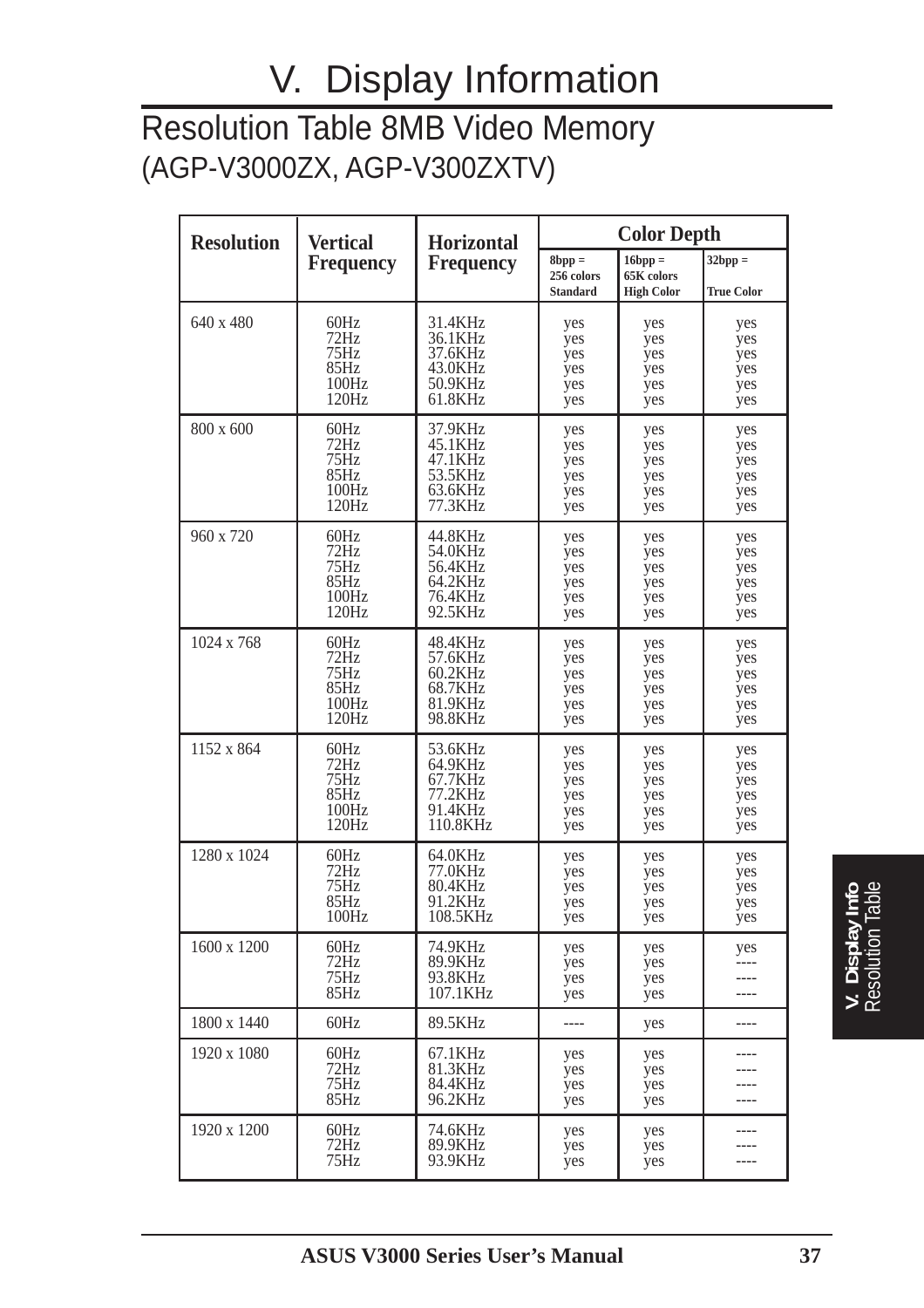# V. Display Information

### Resolution Table 8MB Video Memory (AGP-V3000ZX, AGP-V300ZXTV)

| <b>Resolution</b> | <b>Vertical</b>              | <b>Horizontal</b>                         | <b>Color Depth</b>                        |                                              |                                |
|-------------------|------------------------------|-------------------------------------------|-------------------------------------------|----------------------------------------------|--------------------------------|
|                   | <b>Frequency</b>             | <b>Frequency</b>                          | $8bpp =$<br>256 colors<br><b>Standard</b> | $16bpp =$<br>65K colors<br><b>High Color</b> | $32bpp =$<br><b>True Color</b> |
| 640 x 480         | 60Hz                         | 31.4KHz                                   | yes                                       | yes                                          | yes                            |
|                   | 72Hz                         | 36.1KHz                                   | yes                                       | yes                                          | yes                            |
|                   | 75Hz                         | 37.6KHz                                   | yes                                       | yes                                          | yes                            |
|                   | 85Hz                         | 43.0KHz                                   | yes                                       | yes                                          | yes                            |
|                   | 100Hz                        | 50.9KHz                                   | yes                                       | yes                                          | yes                            |
|                   | 120Hz                        | 61.8KHz                                   | yes                                       | yes                                          | yes                            |
| 800 x 600         | 60Hz                         | 37.9KHz                                   | yes                                       | yes                                          | yes                            |
|                   | 72Hz                         | 45.1KHz                                   | yes                                       | yes                                          | yes                            |
|                   | 75Hz                         | 47.1KHz                                   | yes                                       | yes                                          | yes                            |
|                   | 85Hz                         | 53.5KHz                                   | yes                                       | yes                                          | yes                            |
|                   | 100Hz                        | 63.6KHz                                   | yes                                       | yes                                          | yes                            |
|                   | 120Hz                        | 77.3KHz                                   | yes                                       | yes                                          | yes                            |
| 960 x 720         | 60Hz                         | 44.8KHz                                   | yes                                       | yes                                          | yes                            |
|                   | 72Hz                         | 54.0KHz                                   | yes                                       | yes                                          | yes                            |
|                   | 75Hz                         | 56.4KHz                                   | yes                                       | yes                                          | yes                            |
|                   | 85Hz                         | 64.2KHz                                   | yes                                       | yes                                          | yes                            |
|                   | 100Hz                        | 76.4KHz                                   | yes                                       | yes                                          | yes                            |
|                   | 120Hz                        | 92.5KHz                                   | yes                                       | yes                                          | yes                            |
| 1024 x 768        | 60Hz                         | 48.4KHz                                   | yes                                       | yes                                          | yes                            |
|                   | 72Hz                         | 57.6KHz                                   | yes                                       | yes                                          | yes                            |
|                   | 75Hz                         | 60.2KHz                                   | yes                                       | yes                                          | yes                            |
|                   | 85Hz                         | 68.7KHz                                   | yes                                       | yes                                          | yes                            |
|                   | 100Hz                        | 81.9KHz                                   | yes                                       | yes                                          | yes                            |
|                   | 120Hz                        | 98.8KHz                                   | yes                                       | yes                                          | yes                            |
| 1152 x 864        | 60Hz                         | 53.6KHz                                   | yes                                       | yes                                          | yes                            |
|                   | 72Hz                         | 64.9KHz                                   | yes                                       | yes                                          | yes                            |
|                   | 75Hz                         | 67.7KHz                                   | yes                                       | yes                                          | yes                            |
|                   | 85Hz                         | 77.2KHz                                   | yes                                       | yes                                          | yes                            |
|                   | 100Hz                        | 91.4KHz                                   | yes                                       | yes                                          | yes                            |
|                   | 120Hz                        | 110.8KHz                                  | yes                                       | yes                                          | yes                            |
| 1280 x 1024       | 60Hz                         | 64.0KHz                                   | yes                                       | yes                                          | yes                            |
|                   | 72Hz                         | 77.0KHz                                   | yes                                       | yes                                          | yes                            |
|                   | 75Hz                         | 80.4KHz                                   | yes                                       | yes                                          | yes                            |
|                   | 85Hz                         | 91.2KHz                                   | yes                                       | yes                                          | yes                            |
|                   | 100Hz                        | 108.5KHz                                  | yes                                       | yes                                          | yes                            |
| 1600 x 1200       | 60Hz<br>72Hz<br>75Hz<br>85Hz | 74.9KHz<br>89.9KHz<br>93.8KHz<br>107.1KHz | yes<br>yes<br>yes<br>yes                  | yes<br>yes<br>yes<br>yes                     | yes                            |
| 1800 x 1440       | 60Hz                         | 89.5KHz                                   | ----                                      | yes                                          | ----                           |
| 1920 x 1080       | 60Hz<br>72Hz<br>75Hz<br>85Hz | 67.1KHz<br>81.3KHz<br>84.4KHz<br>96.2KHz  | yes<br>yes<br>yes<br>yes                  | yes<br>yes<br>yes<br>yes                     |                                |
| 1920 x 1200       | 60Hz<br>72Hz<br>75Hz         | 74.6KHz<br>89.9KHz<br>93.9KHz             | yes<br>yes<br>yes                         | yes<br>yes<br>yes                            |                                |

Info<br>Table Resolution Table **V. Display Info**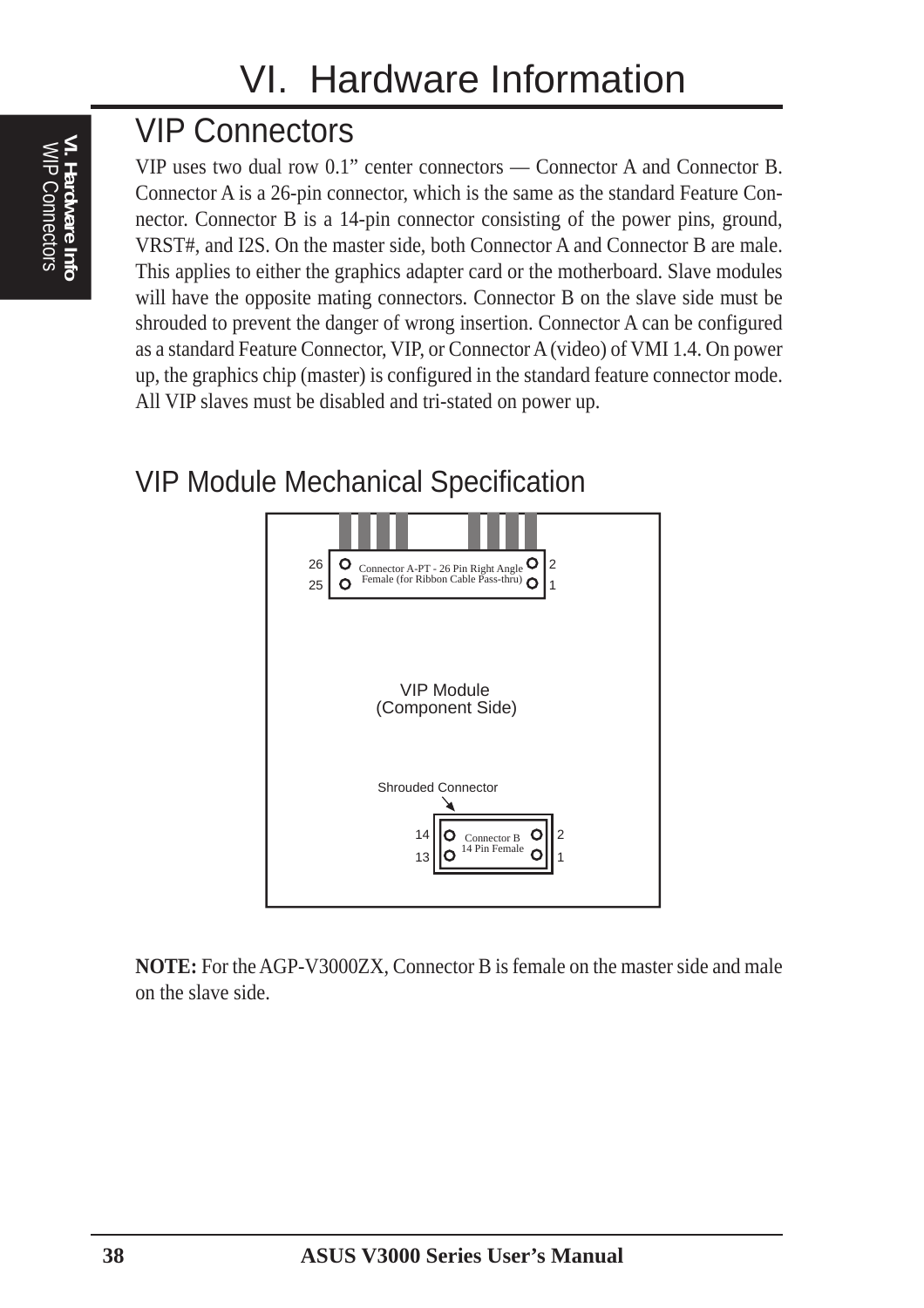# VIP Connectors

VIP uses two dual row 0.1" center connectors — Connector A and Connector B. Connector A is a 26-pin connector, which is the same as the standard Feature Connector. Connector B is a 14-pin connector consisting of the power pins, ground, VRST#, and I2S. On the master side, both Connector A and Connector B are male. This applies to either the graphics adapter card or the motherboard. Slave modules will have the opposite mating connectors. Connector B on the slave side must be shrouded to prevent the danger of wrong insertion. Connector A can be configured as a standard Feature Connector, VIP, or Connector A (video) of VMI 1.4. On power up, the graphics chip (master) is configured in the standard feature connector mode. All VIP slaves must be disabled and tri-stated on power up.

### VIP Module Mechanical Specification



**NOTE:** For the AGP-V3000ZX, Connector B is female on the master side and male on the slave side.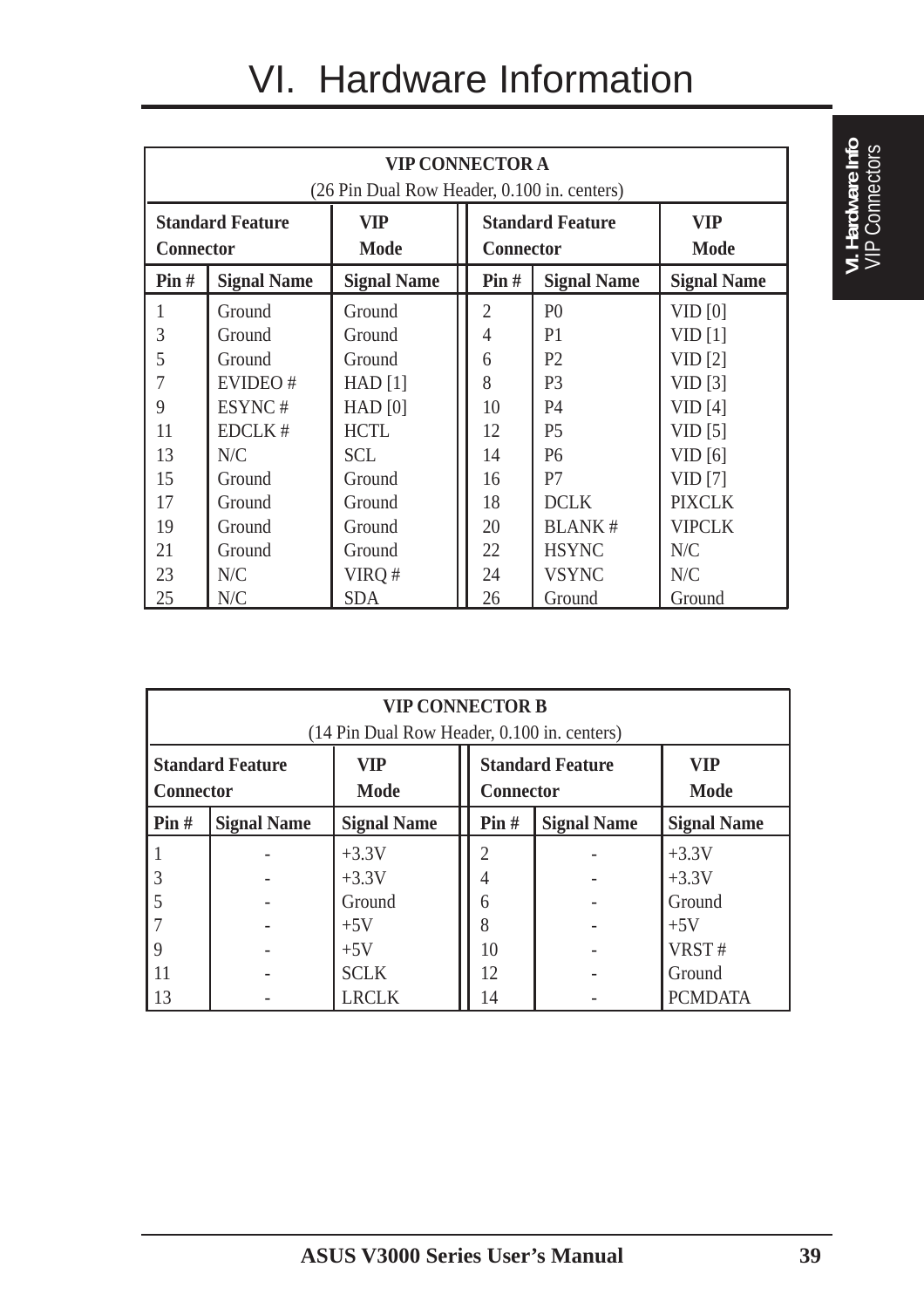# VI. Hardware Information

| <b>VIP CONNECTOR A</b><br>(26 Pin Dual Row Header, 0.100 in. centers) |                    |                    |                                               |                |                           |  |
|-----------------------------------------------------------------------|--------------------|--------------------|-----------------------------------------------|----------------|---------------------------|--|
| <b>Standard Feature</b><br><b>Connector</b>                           |                    | VIP<br><b>Mode</b> | <b>Standard Feature</b><br><b>Connector</b>   |                | <b>VIP</b><br><b>Mode</b> |  |
| $\text{Pin }#$                                                        | <b>Signal Name</b> | <b>Signal Name</b> | $\text{Pin}\,\text{\#}$<br><b>Signal Name</b> |                | <b>Signal Name</b>        |  |
|                                                                       | Ground             | Ground             | $\overline{2}$                                | P <sub>0</sub> | VID <sub>[0]</sub>        |  |
| 3                                                                     | Ground             | Ground             | $\overline{4}$                                | P <sub>1</sub> | VID <sub>[1]</sub>        |  |
| 5                                                                     | Ground             | Ground             | 6                                             | P <sub>2</sub> | VID [2]                   |  |
| 7                                                                     | EVIDEO#            | $HAD$ [1]          | 8                                             | P <sub>3</sub> | VID [3]                   |  |
| 9                                                                     | ESYNC#             | $HAD$ [0]          | 10                                            | <b>P4</b>      | VID[4]                    |  |
| 11                                                                    | EDCLK#             | <b>HCTL</b>        | 12                                            | P <sub>5</sub> | VID <sub>[5]</sub>        |  |
| 13                                                                    | N/C                | <b>SCL</b>         | 14                                            | P <sub>6</sub> | VID [6]                   |  |
| 15                                                                    | Ground             | Ground             | 16                                            | P7             | VID [7]                   |  |
| 17                                                                    | Ground             | Ground             | 18                                            | <b>DCLK</b>    | <b>PIXCLK</b>             |  |
| 19                                                                    | Ground             | Ground             | 20                                            | <b>BLANK#</b>  | <b>VIPCLK</b>             |  |
| 21                                                                    | Ground             | Ground             | 22                                            | <b>HSYNC</b>   | N/C                       |  |
| 23                                                                    | N/C                | VIRQ #             | 24                                            | <b>VSYNC</b>   | N/C                       |  |
| 25                                                                    | N/C                | <b>SDA</b>         | 26                                            | Ground         | Ground                    |  |

| <b>VIP CONNECTOR B</b><br>(14 Pin Dual Row Header, 0.100 in. centers) |                    |                           |                                             |  |                           |  |
|-----------------------------------------------------------------------|--------------------|---------------------------|---------------------------------------------|--|---------------------------|--|
| <b>Standard Feature</b><br><b>Connector</b>                           |                    | <b>VIP</b><br><b>Mode</b> | <b>Standard Feature</b><br><b>Connector</b> |  | <b>VIP</b><br><b>Mode</b> |  |
| Pin#                                                                  | <b>Signal Name</b> | <b>Signal Name</b>        | Pin#<br><b>Signal Name</b>                  |  | <b>Signal Name</b>        |  |
|                                                                       |                    | $+3.3V$                   | $\mathfrak{D}$                              |  | $+3.3V$                   |  |
| 3                                                                     |                    | $+3.3V$                   |                                             |  | $+3.3V$                   |  |
|                                                                       |                    | Ground                    | 6                                           |  | Ground                    |  |
|                                                                       |                    | $+5V$                     | 8                                           |  | $+5V$                     |  |
| 9                                                                     |                    | $+5V$                     | 10                                          |  | VRST#                     |  |
| 11                                                                    |                    | <b>SCLK</b>               | 12                                          |  | Ground                    |  |
| 13                                                                    |                    | LRCLK                     | 14                                          |  | <b>PCMDATA</b>            |  |